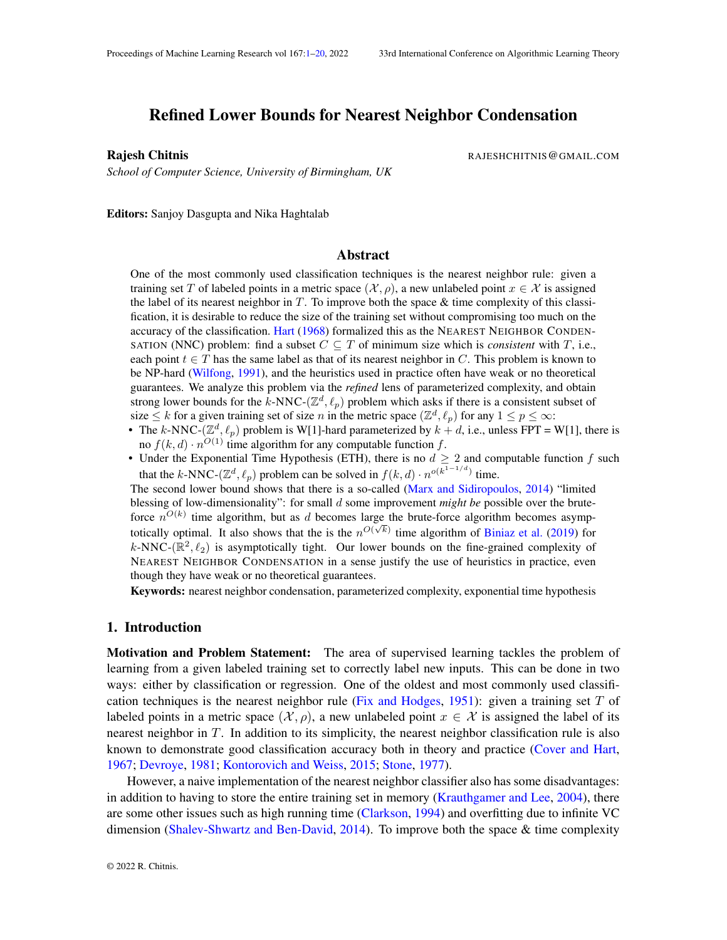## <span id="page-0-0"></span>Refined Lower Bounds for Nearest Neighbor Condensation

*School of Computer Science, University of Birmingham, UK*

Rajesh Chitnis **Rajesh Chitnis** RAJESHCHITNIS @ GMAIL.COM

Editors: Sanjoy Dasgupta and Nika Haghtalab

## Abstract

One of the most commonly used classification techniques is the nearest neighbor rule: given a training set T of labeled points in a metric space  $(\mathcal{X}, \rho)$ , a new unlabeled point  $x \in \mathcal{X}$  is assigned the label of its nearest neighbor in T. To improve both the space  $\&$  time complexity of this classification, it is desirable to reduce the size of the training set without compromising too much on the accuracy of the classification. [Hart](#page-18-0) [\(1968\)](#page-18-0) formalized this as the NEAREST NEIGHBOR CONDEN-SATION (NNC) problem: find a subset  $C \subseteq T$  of minimum size which is *consistent* with  $T$ , i.e., each point  $t \in T$  has the same label as that of its nearest neighbor in C. This problem is known to be NP-hard [\(Wilfong,](#page-19-1) [1991\)](#page-19-1), and the heuristics used in practice often have weak or no theoretical guarantees. We analyze this problem via the *refined* lens of parameterized complexity, and obtain strong lower bounds for the k-NNC-( $\mathbb{Z}^d$ ,  $\ell_p$ ) problem which asks if there is a consistent subset of size  $\leq k$  for a given training set of size n in the metric space  $(\mathbb{Z}^d, \ell_p)$  for any  $1 \leq p \leq \infty$ :

- The k-NNC-( $\mathbb{Z}^d$ ,  $\ell_p$ ) problem is W[1]-hard parameterized by  $k + d$ , i.e., unless FPT = W[1], there is no  $f(k, d) \cdot n^{O(1)}$  time algorithm for any computable function f.
- Under the Exponential Time Hypothesis (ETH), there is no  $d \geq 2$  and computable function f such that the k-NNC-( $\mathbb{Z}^d$ ,  $\ell_p$ ) problem can be solved in  $f(k, d) \cdot n^{o(k^{1-1/d})}$  time.

The second lower bound shows that there is a so-called [\(Marx and Sidiropoulos,](#page-18-1) [2014\)](#page-18-1) "limited blessing of low-dimensionality": for small d some improvement *might be* possible over the bruteforce  $n^{O(k)}$  time algorithm, but as d becomes large the brute-force algorithm becomes asymptotically optimal. It also shows that the is the  $n^{O(\sqrt{k})}$  time algorithm of [Biniaz et al.](#page-17-0) [\(2019\)](#page-17-0) for k-NNC-( $\mathbb{R}^2$ ,  $\ell_2$ ) is asymptotically tight. Our lower bounds on the fine-grained complexity of NEAREST NEIGHBOR CONDENSATION in a sense justify the use of heuristics in practice, even though they have weak or no theoretical guarantees.

Keywords: nearest neighbor condensation, parameterized complexity, exponential time hypothesis

## 1. Introduction

Motivation and Problem Statement: The area of supervised learning tackles the problem of learning from a given labeled training set to correctly label new inputs. This can be done in two ways: either by classification or regression. One of the oldest and most commonly used classifi-cation techniques is the nearest neighbor rule [\(Fix and Hodges,](#page-18-2) [1951\)](#page-18-2): given a training set  $T$  of labeled points in a metric space  $(\mathcal{X}, \rho)$ , a new unlabeled point  $x \in \mathcal{X}$  is assigned the label of its nearest neighbor in T. In addition to its simplicity, the nearest neighbor classification rule is also known to demonstrate good classification accuracy both in theory and practice [\(Cover and Hart,](#page-17-1) [1967;](#page-17-1) [Devroye,](#page-17-2) [1981;](#page-17-2) [Kontorovich and Weiss,](#page-18-3) [2015;](#page-18-3) [Stone,](#page-19-2) [1977\)](#page-19-2).

However, a naive implementation of the nearest neighbor classifier also has some disadvantages: in addition to having to store the entire training set in memory [\(Krauthgamer and Lee,](#page-18-4) [2004\)](#page-18-4), there are some other issues such as high running time [\(Clarkson,](#page-17-3) [1994\)](#page-17-3) and overfitting due to infinite VC dimension [\(Shalev-Shwartz and Ben-David,](#page-19-3) [2014\)](#page-19-3). To improve both the space & time complexity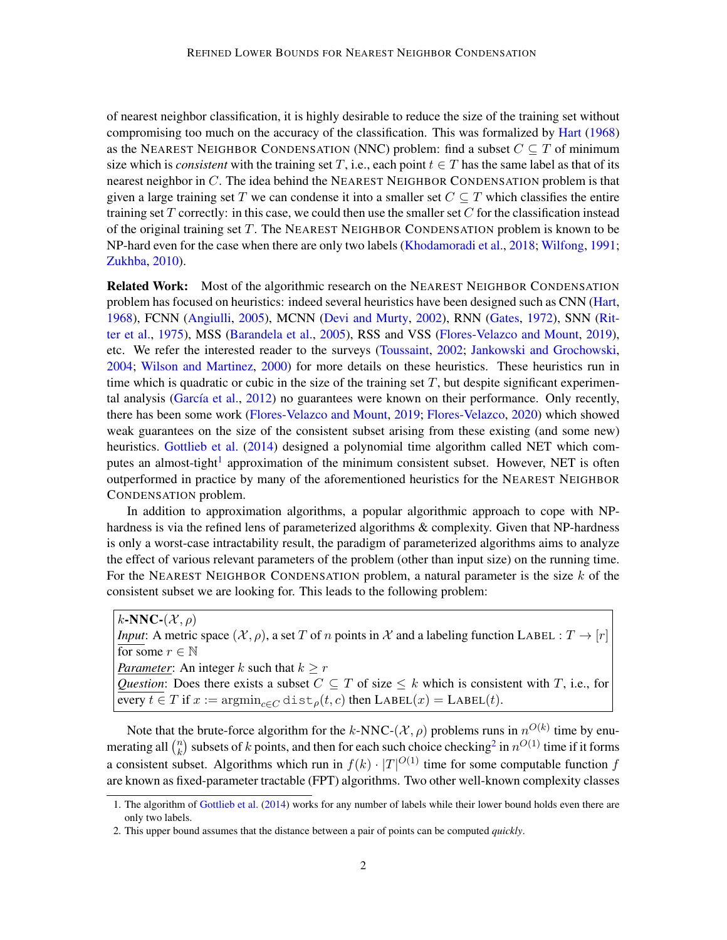of nearest neighbor classification, it is highly desirable to reduce the size of the training set without compromising too much on the accuracy of the classification. This was formalized by [Hart](#page-18-0) [\(1968\)](#page-18-0) as the NEAREST NEIGHBOR CONDENSATION (NNC) problem: find a subset  $C \subseteq T$  of minimum size which is *consistent* with the training set T, i.e., each point  $t \in T$  has the same label as that of its nearest neighbor in  $C$ . The idea behind the NEAREST NEIGHBOR CONDENSATION problem is that given a large training set T we can condense it into a smaller set  $C \subseteq T$  which classifies the entire training set  $T$  correctly: in this case, we could then use the smaller set  $C$  for the classification instead of the original training set  $T$ . The NEAREST NEIGHBOR CONDENSATION problem is known to be NP-hard even for the case when there are only two labels [\(Khodamoradi et al.,](#page-18-5) [2018;](#page-18-5) [Wilfong,](#page-19-1) [1991;](#page-19-1) [Zukhba,](#page-19-4) [2010\)](#page-19-4).

Related Work: Most of the algorithmic research on the NEAREST NEIGHBOR CONDENSATION problem has focused on heuristics: indeed several heuristics have been designed such as CNN [\(Hart,](#page-18-0) [1968\)](#page-18-0), FCNN [\(Angiulli,](#page-17-4) [2005\)](#page-17-4), MCNN [\(Devi and Murty,](#page-17-5) [2002\)](#page-17-5), RNN [\(Gates,](#page-18-6) [1972\)](#page-18-6), SNN [\(Rit](#page-19-5)[ter et al.,](#page-19-5) [1975\)](#page-19-5), MSS [\(Barandela et al.,](#page-17-6) [2005\)](#page-17-6), RSS and VSS [\(Flores-Velazco and Mount,](#page-18-7) [2019\)](#page-18-7), etc. We refer the interested reader to the surveys [\(Toussaint,](#page-19-6) [2002;](#page-19-6) [Jankowski and Grochowski,](#page-18-8) [2004;](#page-18-8) [Wilson and Martinez,](#page-19-7) [2000\)](#page-19-7) for more details on these heuristics. These heuristics run in time which is quadratic or cubic in the size of the training set  $T$ , but despite significant experimental analysis (García et al.,  $2012$ ) no guarantees were known on their performance. Only recently, there has been some work [\(Flores-Velazco and Mount,](#page-18-7) [2019;](#page-18-7) [Flores-Velazco,](#page-18-10) [2020\)](#page-18-10) which showed weak guarantees on the size of the consistent subset arising from these existing (and some new) heuristics. [Gottlieb et al.](#page-18-11) [\(2014\)](#page-18-11) designed a polynomial time algorithm called NET which com-putes an almost-tight<sup>[1](#page-1-0)</sup> approximation of the minimum consistent subset. However, NET is often outperformed in practice by many of the aforementioned heuristics for the NEAREST NEIGHBOR CONDENSATION problem.

In addition to approximation algorithms, a popular algorithmic approach to cope with NPhardness is via the refined lens of parameterized algorithms & complexity. Given that NP-hardness is only a worst-case intractability result, the paradigm of parameterized algorithms aims to analyze the effect of various relevant parameters of the problem (other than input size) on the running time. For the NEAREST NEIGHBOR CONDENSATION problem, a natural parameter is the size  $k$  of the consistent subset we are looking for. This leads to the following problem:

 $k$ -NNC- $(\mathcal{X}, \rho)$ *Input*: A metric space  $(\mathcal{X}, \rho)$ , a set T of n points in X and a labeling function LABEL :  $T \to [r]$ for some  $r \in \mathbb{N}$ *Parameter*: An integer k such that  $k > r$ *Question*: Does there exists a subset  $C \subseteq T$  of size  $\leq k$  which is consistent with T, i.e., for every  $t \in T$  if  $x := \operatorname{argmin}_{c \in C} \text{dist}_{\rho}(t, c)$  then  $\text{LABEL}(x) = \text{LABEL}(t)$ .

Note that the brute-force algorithm for the k-NNC-( $\mathcal{X}, \rho$ ) problems runs in  $n^{O(k)}$  time by enumerating all  $\binom{n}{k}$  $k \choose k$  subsets of k points, and then for each such choice checking<sup>[2](#page-1-1)</sup> in  $n^{O(1)}$  time if it forms a consistent subset. Algorithms which run in  $f(k) \cdot |T|^{O(1)}$  time for some computable function f are known as fixed-parameter tractable (FPT) algorithms. Two other well-known complexity classes

<span id="page-1-0"></span><sup>1.</sup> The algorithm of [Gottlieb et al.](#page-18-11) [\(2014\)](#page-18-11) works for any number of labels while their lower bound holds even there are only two labels.

<span id="page-1-1"></span><sup>2.</sup> This upper bound assumes that the distance between a pair of points can be computed *quickly*.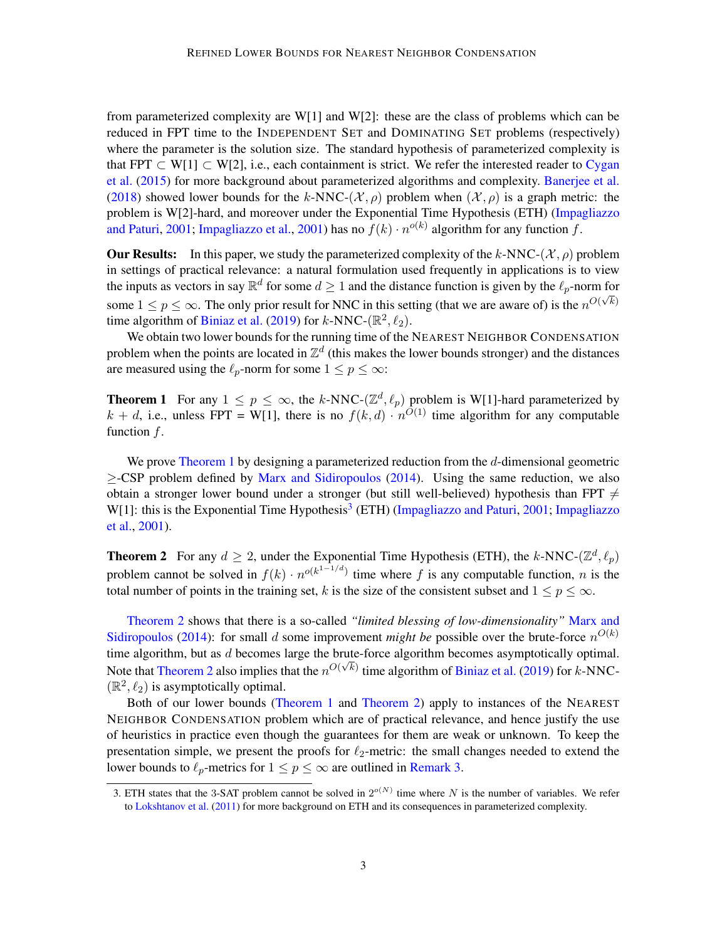from parameterized complexity are W[1] and W[2]: these are the class of problems which can be reduced in FPT time to the INDEPENDENT SET and DOMINATING SET problems (respectively) where the parameter is the solution size. The standard hypothesis of parameterized complexity is that FPT  $\subset W[1] \subset W[2]$ , i.e., each containment is strict. We refer the interested reader to [Cygan](#page-17-7) [et al.](#page-17-7) [\(2015\)](#page-17-7) for more background about parameterized algorithms and complexity. [Banerjee et al.](#page-17-8) [\(2018\)](#page-17-8) showed lower bounds for the k-NNC-( $\mathcal{X}, \rho$ ) problem when  $(\mathcal{X}, \rho)$  is a graph metric: the problem is W[2]-hard, and moreover under the Exponential Time Hypothesis (ETH) [\(Impagliazzo](#page-18-12) [and Paturi,](#page-18-12) [2001;](#page-18-12) [Impagliazzo et al.,](#page-18-13) [2001\)](#page-18-13) has no  $f(k) \cdot n^{o(k)}$  algorithm for any function  $f$ .

**Our Results:** In this paper, we study the parameterized complexity of the k-NNC-( $\mathcal{X}, \rho$ ) problem in settings of practical relevance: a natural formulation used frequently in applications is to view the inputs as vectors in say  $\mathbb{R}^d$  for some  $d \ge 1$  and the distance function is given by the  $\ell_p$ -norm for some  $1 \le p \le \infty$ . The only prior result for NNC in this setting (that we are aware of) is the  $n^{O(\sqrt{k})}$ time algorithm of [Biniaz et al.](#page-17-0) [\(2019\)](#page-17-0) for  $k$ -NNC-( $\mathbb{R}^2$ ,  $\ell_2$ ).

We obtain two lower bounds for the running time of the NEAREST NEIGHBOR CONDENSATION problem when the points are located in  $\mathbb{Z}^d$  (this makes the lower bounds stronger) and the distances are measured using the  $\ell_p$ -norm for some  $1 \le p \le \infty$ :

<span id="page-2-0"></span>**Theorem 1** For any  $1 \leq p \leq \infty$ , the k-NNC- $(\mathbb{Z}^d, \ell_p)$  problem is W[1]-hard parameterized by  $k + d$ , i.e., unless FPT = W[1], there is no  $f(k, d) \cdot n^{O(1)}$  time algorithm for any computable function  $f$ .

We prove [Theorem 1](#page-2-0) by designing a parameterized reduction from the d-dimensional geometric ≥-CSP problem defined by [Marx and Sidiropoulos](#page-18-1) [\(2014\)](#page-18-1). Using the same reduction, we also obtain a stronger lower bound under a stronger (but still well-believed) hypothesis than FPT  $\neq$ W[1]: this is the Exponential Time Hypothesis<sup>[3](#page-2-1)</sup> (ETH) [\(Impagliazzo and Paturi,](#page-18-12) [2001;](#page-18-12) [Impagliazzo](#page-18-13) [et al.,](#page-18-13) [2001\)](#page-18-13).

<span id="page-2-2"></span>**Theorem 2** For any  $d \ge 2$ , under the Exponential Time Hypothesis (ETH), the k-NNC-( $\mathbb{Z}^d$ ,  $\ell_p$ ) problem cannot be solved in  $f(k) \cdot n^{o(k^{1-1/d})}$  time where f is any computable function, n is the total number of points in the training set, k is the size of the consistent subset and  $1 \le p \le \infty$ .

[Theorem 2](#page-2-2) shows that there is a so-called *"limited blessing of low-dimensionality"* [Marx and](#page-18-1) [Sidiropoulos](#page-18-1) [\(2014\)](#page-18-1): for small d some improvement *might be* possible over the brute-force  $n^{O(k)}$ time algorithm, but as  $d$  becomes large the brute-force algorithm becomes asymptotically optimal. Note that [Theorem 2](#page-2-2) also implies that the  $n^{O(\sqrt{k})}$  time algorithm of [Biniaz et al.](#page-17-0) [\(2019\)](#page-17-0) for k-NNC- $(\mathbb{R}^2, \ell_2)$  is asymptotically optimal.

Both of our lower bounds [\(Theorem 1](#page-2-0) and [Theorem 2\)](#page-2-2) apply to instances of the NEAREST NEIGHBOR CONDENSATION problem which are of practical relevance, and hence justify the use of heuristics in practice even though the guarantees for them are weak or unknown. To keep the presentation simple, we present the proofs for  $\ell_2$ -metric: the small changes needed to extend the lower bounds to  $\ell_p$ -metrics for  $1 \le p \le \infty$  are outlined in [Remark 3.](#page-17-9)

<span id="page-2-1"></span><sup>3.</sup> ETH states that the 3-SAT problem cannot be solved in  $2^{o(N)}$  time where N is the number of variables. We refer to [Lokshtanov et al.](#page-18-14) [\(2011\)](#page-18-14) for more background on ETH and its consequences in parameterized complexity.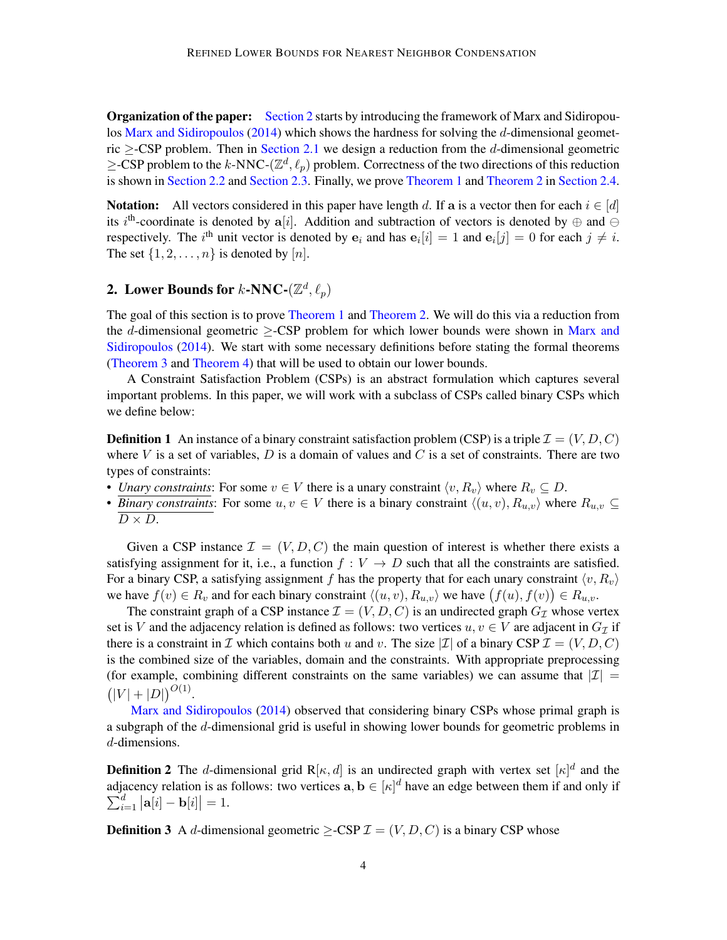**Organization of the paper:** [Section 2](#page-3-0) starts by introducing the framework of Marx and Sidiropou-los [Marx and Sidiropoulos](#page-18-1) [\(2014\)](#page-18-1) which shows the hardness for solving the  $d$ -dimensional geometric  $\geq$ -CSP problem. Then in [Section 2.1](#page-5-0) we design a reduction from the d-dimensional geometric  $\geq$ -CSP problem to the k-NNC-( $\mathbb{Z}^d$ ,  $\ell_p$ ) problem. Correctness of the two directions of this reduction is shown in [Section 2.2](#page-7-0) and [Section 2.3.](#page-13-0) Finally, we prove [Theorem 1](#page-2-0) and [Theorem 2](#page-2-2) in [Section 2.4.](#page-16-0)

**Notation:** All vectors considered in this paper have length d. If a is a vector then for each  $i \in [d]$ its i<sup>th</sup>-coordinate is denoted by a[i]. Addition and subtraction of vectors is denoted by  $\oplus$  and  $\ominus$ respectively. The *i*<sup>th</sup> unit vector is denoted by  $e_i$  and has  $e_i[i] = 1$  and  $e_i[j] = 0$  for each  $j \neq i$ . The set  $\{1, 2, \ldots, n\}$  is denoted by  $[n]$ .

# <span id="page-3-0"></span>2. Lower Bounds for  $k$ -NNC- $(\mathbb{Z}^d, \ell_p)$

The goal of this section is to prove [Theorem 1](#page-2-0) and [Theorem 2.](#page-2-2) We will do this via a reduction from the d-dimensional geometric  $\geq$ -CSP problem for which lower bounds were shown in [Marx and](#page-18-1) [Sidiropoulos](#page-18-1) [\(2014\)](#page-18-1). We start with some necessary definitions before stating the formal theorems [\(Theorem 3](#page-4-0) and [Theorem 4\)](#page-4-1) that will be used to obtain our lower bounds.

A Constraint Satisfaction Problem (CSPs) is an abstract formulation which captures several important problems. In this paper, we will work with a subclass of CSPs called binary CSPs which we define below:

**Definition 1** An instance of a binary constraint satisfaction problem (CSP) is a triple  $\mathcal{I} = (V, D, C)$ where V is a set of variables, D is a domain of values and C is a set of constraints. There are two types of constraints:

- *Unary constraints*: For some  $v \in V$  there is a unary constraint  $\langle v, R_v \rangle$  where  $R_v \subseteq D$ .
- *Binary constraints*: For some  $u, v \in V$  there is a binary constraint  $\langle (u, v), R_{u,v} \rangle$  where  $R_{u,v} \subseteq$  $D \times D$ .

Given a CSP instance  $\mathcal{I} = (V, D, C)$  the main question of interest is whether there exists a satisfying assignment for it, i.e., a function  $f: V \to D$  such that all the constraints are satisfied. For a binary CSP, a satisfying assignment f has the property that for each unary constraint  $\langle v, R_v \rangle$ we have  $f(v) \in R_v$  and for each binary constraint  $\langle (u, v), R_{u, v} \rangle$  we have  $(f(u), f(v)) \in R_{u,v}$ .

The constraint graph of a CSP instance  $\mathcal{I} = (V, D, C)$  is an undirected graph  $G_{\mathcal{I}}$  whose vertex set is V and the adjacency relation is defined as follows: two vertices  $u, v \in V$  are adjacent in  $G_{\mathcal{I}}$  if there is a constraint in I which contains both u and v. The size |I| of a binary CSP  $\mathcal{I} = (V, D, C)$ is the combined size of the variables, domain and the constraints. With appropriate preprocessing (for example, combining different constraints on the same variables) we can assume that  $|I|$  =  $(|V|+|D|)^{O(1)}.$ 

[Marx and Sidiropoulos](#page-18-1) [\(2014\)](#page-18-1) observed that considering binary CSPs whose primal graph is a subgraph of the d-dimensional grid is useful in showing lower bounds for geometric problems in d-dimensions.

**Definition 2** The d-dimensional grid R[ $\kappa$ , d] is an undirected graph with vertex set  $[\kappa]$ <sup>d</sup> and the adjacency relation is as follows: two vertices  $a, b \in [\kappa]^d$  have an edge between them if and only if  $\sum_{i}^{d}$  $\binom{d}{i=1} |{\bf a}[i]-{\bf b}[i]|=1.$ 

<span id="page-3-1"></span>**Definition 3** A d-dimensional geometric >-CSP  $\mathcal{I} = (V, D, C)$  is a binary CSP whose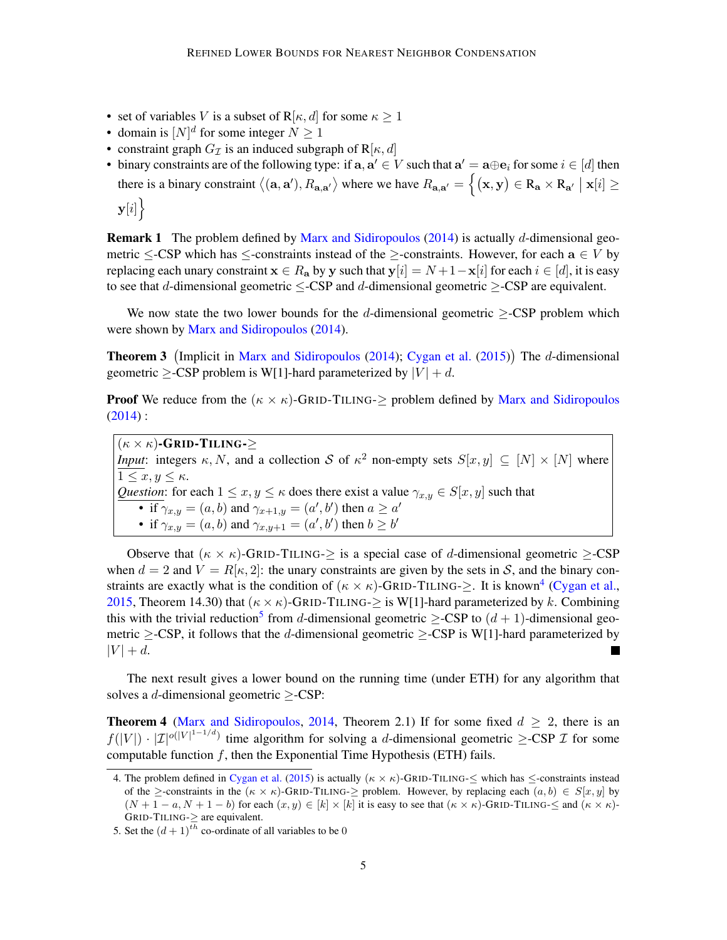- set of variables V is a subset of R[ $\kappa$ , d] for some  $\kappa \geq 1$
- domain is  $[N]^d$  for some integer  $N \ge 1$
- constraint graph  $G_{\mathcal{I}}$  is an induced subgraph of  $R[\kappa, d]$
- binary constraints are of the following type: if  $a, a' \in V$  such that  $a' = a \oplus e_i$  for some  $i \in [d]$  then there is a binary constraint  $\langle (\mathbf{a}, \mathbf{a}'), R_{\mathbf{a}, \mathbf{a}'} \rangle$  where we have  $R_{\mathbf{a}, \mathbf{a}'} = \{ (\mathbf{x}, \mathbf{y}) \in R_{\mathbf{a}} \times R_{\mathbf{a}'} \mid \mathbf{x}[i] \geq$  $y[i]\big\}$

**Remark 1** The problem defined by [Marx and Sidiropoulos](#page-18-1) [\(2014\)](#page-18-1) is actually d-dimensional geometric  $\leq$ -CSP which has  $\leq$ -constraints instead of the  $\geq$ -constraints. However, for each  $a \in V$  by replacing each unary constraint  $\mathbf{x} \in R_a$  by y such that  $y[i] = N + 1 - x[i]$  for each  $i \in [d]$ , it is easy to see that d-dimensional geometric  $\leq$ -CSP and d-dimensional geometric  $\geq$ -CSP are equivalent.

We now state the two lower bounds for the d-dimensional geometric  $\geq$ -CSP problem which were shown by [Marx and Sidiropoulos](#page-18-1) [\(2014\)](#page-18-1).

<span id="page-4-0"></span>Theorem 3 (Implicit in [Marx and Sidiropoulos](#page-18-1) [\(2014\)](#page-18-1); [Cygan et al.](#page-17-7) [\(2015\)](#page-17-7)) The d-dimensional geometric  $\geq$ -CSP problem is W[1]-hard parameterized by  $|V| + d$ .

**Proof** We reduce from the  $(\kappa \times \kappa)$ -GRID-TILING- $\geq$  problem defined by [Marx and Sidiropoulos](#page-18-1)  $(2014)$  :

 $(\kappa \times \kappa)$ -GRID-TILING-> *Input*: integers  $\kappa$ , N, and a collection S of  $\kappa^2$  non-empty sets  $S[x, y] \subseteq [N] \times [N]$  where  $1 \leq x, y \leq \kappa$ . *Question*: for each  $1 \le x, y \le \kappa$  does there exist a value  $\gamma_{x,y} \in S[x, y]$  such that • if  $\gamma_{x,y} = (a, b)$  and  $\gamma_{x+1,y} = (a', b')$  then  $a \ge a'$ • if  $\gamma_{x,y} = (a, b)$  and  $\gamma_{x,y+1} = (a', b')$  then  $b \ge b'$ 

Observe that  $(\kappa \times \kappa)$ -GRID-TILING- $\geq$  is a special case of d-dimensional geometric  $\geq$ -CSP when  $d = 2$  and  $V = R[\kappa, 2]$ : the unary constraints are given by the sets in S, and the binary constraints are exactly what is the condition of  $(\kappa \times \kappa)$ -GRID-TILING- $\geq$ . It is known<sup>[4](#page-4-2)</sup> [\(Cygan et al.,](#page-17-7) [2015,](#page-17-7) Theorem 14.30) that  $(\kappa \times \kappa)$ -GRID-TILING- $\geq$  is W[1]-hard parameterized by k. Combining this with the trivial reduction<sup>[5](#page-4-3)</sup> from *d*-dimensional geometric  $\geq$ -CSP to  $(d + 1)$ -dimensional geometric >-CSP, it follows that the d-dimensional geometric >-CSP is W[1]-hard parameterized by  $|V| + d$ .

The next result gives a lower bound on the running time (under ETH) for any algorithm that solves a d-dimensional geometric ≥-CSP:

<span id="page-4-1"></span>**Theorem 4** [\(Marx and Sidiropoulos,](#page-18-1) [2014,](#page-18-1) Theorem 2.1) If for some fixed  $d \ge 2$ , there is an  $f(|V|) \cdot |\mathcal{I}|^{o(|V|^{1-1/d})}$  time algorithm for solving a d-dimensional geometric  $\geq$ -CSP  $\mathcal I$  for some computable function  $f$ , then the Exponential Time Hypothesis (ETH) fails.

<span id="page-4-2"></span><sup>4.</sup> The problem defined in [Cygan et al.](#page-17-7) [\(2015\)](#page-17-7) is actually ( $\kappa \times \kappa$ )-GRID-TILING- $\leq$  which has  $\leq$ -constraints instead of the  $\ge$ -constraints in the  $(\kappa \times \kappa)$ -GRID-TILING- $\ge$  problem. However, by replacing each  $(a, b) \in S[x, y]$  by  $(N + 1 - a, N + 1 - b)$  for each  $(x, y) \in [k] \times [k]$  it is easy to see that  $(\kappa \times \kappa)$ -GRID-TILING- $\leq$  and  $(\kappa \times \kappa)$ -GRID-TILING-≥ are equivalent.

<span id="page-4-3"></span><sup>5.</sup> Set the  $(d+1)^{th}$  co-ordinate of all variables to be 0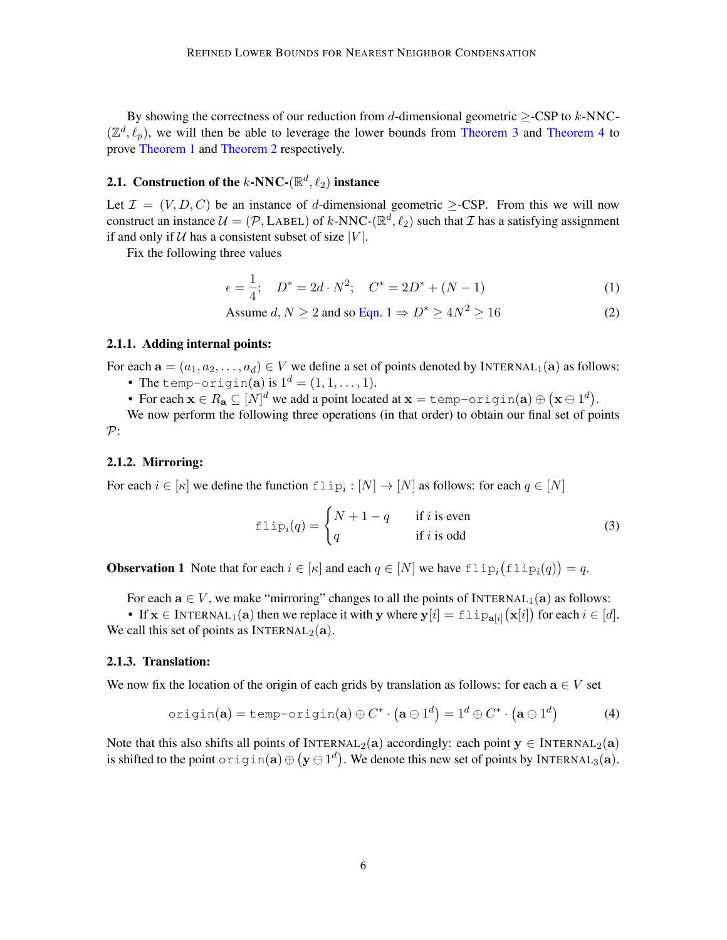By showing the correctness of our reduction from d-dimensional geometric  $\geq$ -CSP to k-NNC- $(\mathbb{Z}^d, \ell_p)$ , we will then be able to leverage the lower bounds from [Theorem 3](#page-4-0) and [Theorem 4](#page-4-1) to prove [Theorem 1](#page-2-0) and [Theorem 2](#page-2-2) respectively.

## <span id="page-5-0"></span>2.1. Construction of the k-NNC-( $\mathbb{R}^d$ ,  $\ell_2$ ) instance

Let  $\mathcal{I} = (V, D, C)$  be an instance of d-dimensional geometric  $\geq$ -CSP. From this we will now construct an instance  $\mathcal{U} = (\mathcal{P}, \text{LABEL})$  of k-NNC-( $\mathbb{R}^d$ ,  $\ell_2$ ) such that  $\mathcal{I}$  has a satisfying assignment if and only if  $U$  has a consistent subset of size |V|.

Fix the following three values

<span id="page-5-2"></span><span id="page-5-1"></span>
$$
\epsilon = \frac{1}{4}; \quad D^* = 2d \cdot N^2; \quad C^* = 2D^* + (N - 1) \tag{1}
$$

Assume 
$$
d, N \ge 2
$$
 and so Eqn.  $1 \Rightarrow D^* \ge 4N^2 \ge 16$  (2)

#### <span id="page-5-3"></span>2.1.1. Adding internal points:

For each  $\mathbf{a} = (a_1, a_2, \dots, a_d) \in V$  we define a set of points denoted by INTERNAL<sub>1</sub>(a) as follows:

- The temp-origin(a) is  $1^d = (1, 1, \ldots, 1)$ .
- For each  $\mathbf{x} \in R_\mathbf{a} \subseteq [N]^d$  we add a point located at  $\mathbf{x} =$  <code>temp-origin(a)</code>  $\oplus$   $(\mathbf{x} \ominus 1^d).$

We now perform the following three operations (in that order) to obtain our final set of points P:

### <span id="page-5-6"></span>2.1.2. Mirroring:

For each  $i \in [\kappa]$  we define the function  $\text{flip}_i : [N] \to [N]$  as follows: for each  $q \in [N]$ 

<span id="page-5-8"></span><span id="page-5-4"></span>
$$
f1ip_i(q) = \begin{cases} N+1-q & \text{if } i \text{ is even} \\ q & \text{if } i \text{ is odd} \end{cases}
$$
 (3)

<span id="page-5-7"></span>**Observation 1** Note that for each  $i \in [\kappa]$  and each  $q \in [N]$  we have  $\text{flip}_i(f \text{flip}_i(q)) = q$ .

For each  $a \in V$ , we make "mirroring" changes to all the points of INTERNAL<sub>1</sub>(a) as follows:

• If  $\mathbf{x} \in \text{INTERNAL}_1(\mathbf{a})$  then we replace it with y where  $\mathbf{y}[i] = \text{flip}_{\mathbf{a}[i]}(\mathbf{x}[i])$  for each  $i \in [d]$ . We call this set of points as INTERNAL<sub>2</sub>(a).

#### <span id="page-5-5"></span>2.1.3. Translation:

We now fix the location of the origin of each grids by translation as follows: for each  $a \in V$  set

$$
\text{origin}(\mathbf{a}) = \text{temp-origin}(\mathbf{a}) \oplus C^* \cdot (\mathbf{a} \ominus 1^d) = 1^d \oplus C^* \cdot (\mathbf{a} \ominus 1^d) \tag{4}
$$

Note that this also shifts all points of INTERNAL<sub>2</sub>(a) accordingly: each point  $y \in \text{INTERNAL}_2(a)$ is shifted to the point  $\text{origin}(\mathbf{a}) \oplus (\mathbf{y} \ominus 1^d)$ . We denote this new set of points by INTERNAL<sub>3</sub>(a).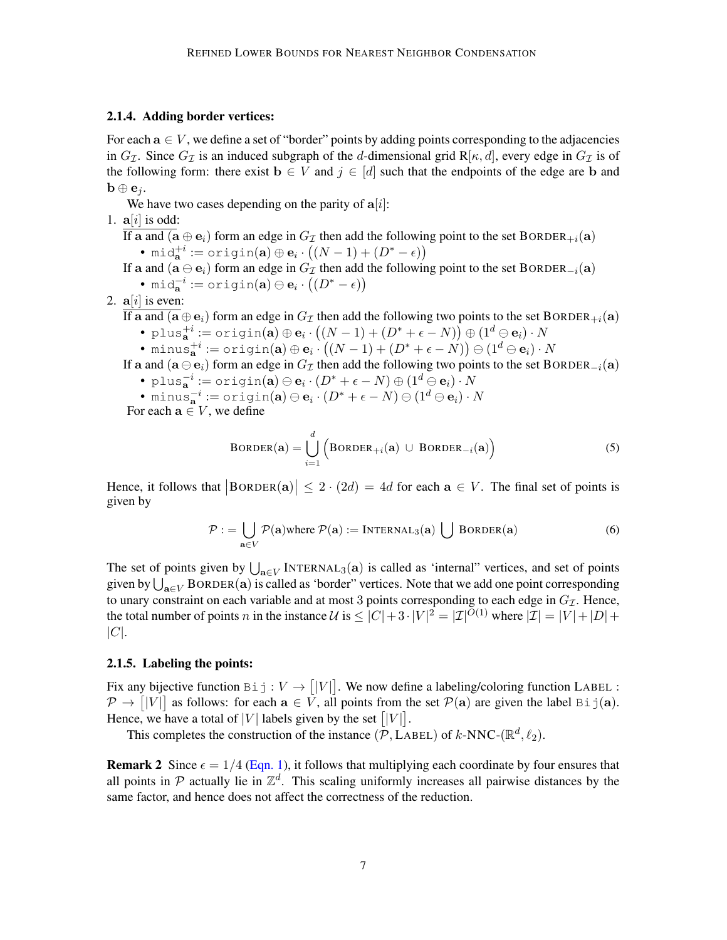## <span id="page-6-2"></span>2.1.4. Adding border vertices:

For each  $a \in V$ , we define a set of "border" points by adding points corresponding to the adjacencies in  $G_{\mathcal{I}}$ . Since  $G_{\mathcal{I}}$  is an induced subgraph of the d-dimensional grid R[ $\kappa$ , d], every edge in  $G_{\mathcal{I}}$  is of the following form: there exist  $\mathbf{b} \in V$  and  $j \in [d]$  such that the endpoints of the edge are b and  $\mathbf{b} \oplus \mathbf{e}_i$ .

We have two cases depending on the parity of  $a[i]$ :

1.  $a[i]$  is odd:

If a and  $(a \oplus e_i)$  form an edge in  $G_{\mathcal{I}}$  then add the following point to the set BORDER<sub>+i</sub>(a) • mid $_{\mathbf{a}}^{+i}:=\text{origin}(\mathbf{a})\oplus \mathbf{e}_{i}\cdot\big((N-1)+(D^{*}-\epsilon)\big)$ 

If a and  $(a \ominus e_i)$  form an edge in  $G_{\mathcal{I}}$  then add the following point to the set BORDER<sub>−i</sub>(a)

• mid $_{\mathbf{a}}^{-i}:=\texttt{origin}(\mathbf{a})\ominus\mathbf{e}_{i}\cdot\big((D^{*}-\epsilon)\big)$ 

2.  $a[i]$  is even:

If a and  $(a \oplus e_i)$  form an edge in  $G_{\mathcal{I}}$  then add the following two points to the set BORDER<sub>+i</sub>(a)

- plus $_{\mathbf{a}}^{+i}:=\texttt{origin}(\mathbf{a})\oplus \mathbf{e}_{i}\cdot\big((N-1)+(D^{*}+\epsilon-N)\big)\oplus(1^{d}\ominus \mathbf{e}_{i})\cdot N$
- minus $_{\mathbf{a}}^{+i}:=\texttt{origin}(\mathbf{a})\oplus \mathbf{e}_i \cdot \big((N-1)+(D^*+\epsilon-N)\big) \ominus (1^d \ominus \mathbf{e}_i) \cdot N$

If a and  $(a \ominus e_i)$  form an edge in  $G_{\mathcal{I}}$  then add the following two points to the set BORDER<sub>−i</sub>(a)

- plus $_{\mathbf{a}}^{-i}:=\texttt{origin}(\mathbf{a})\ominus\mathbf{e}_{i}\cdot(D^{*}+\epsilon-N)\oplus(1^{d}\ominus\mathbf{e}_{i})\cdot N$
- minus $\mathbf{a}^i := \text{origin}(\mathbf{a})\ominus \mathbf{e}_i \cdot (D^* + \epsilon N) \ominus (1^d \ominus \mathbf{e}_i) \cdot N$

For each  $a \in V$ , we define

<span id="page-6-1"></span><span id="page-6-0"></span>BORDER(**a**) = 
$$
\bigcup_{i=1}^{d}
$$
 (BORDER<sub>+i</sub>(**a**)  $\cup$  BORDER<sub>-i</sub>(**a**) (5)

Hence, it follows that  $|BORDER(a)| \leq 2 \cdot (2d) = 4d$  for each  $a \in V$ . The final set of points is given by

$$
\mathcal{P} := \bigcup_{\mathbf{a} \in V} \mathcal{P}(\mathbf{a}) \text{where } \mathcal{P}(\mathbf{a}) := \text{INTERNAL}_3(\mathbf{a}) \bigcup \text{BORDER}(\mathbf{a}) \tag{6}
$$

The set of points given by  $\bigcup_{a \in V}$  INTERNAL<sub>3</sub>(a) is called as 'internal" vertices, and set of points given by  $\bigcup_{\mathbf{a}\in V}$  BORDER( $\mathbf{a}$ ) is called as 'border" vertices. Note that we add one point corresponding to unary constraint on each variable and at most 3 points corresponding to each edge in  $G_{\mathcal{I}}$ . Hence, the total number of points n in the instance  $\mathcal{U}$  is  $\leq |C| + 3 \cdot |V|^2 = |\mathcal{I}|^{O(1)}$  where  $|\mathcal{I}| = |V| + |D| +$  $|C|$ .

## 2.1.5. Labeling the points:

Fix any bijective function  $\text{Bi j}: V \to [|V|]$ . We now define a labeling/coloring function LABEL :  $\mathcal{P} \to [|V|]$  as follows: for each  $\mathbf{a} \in V$ , all points from the set  $\mathcal{P}(\mathbf{a})$  are given the label Bi j(a). Hence, we have a total of |V| labels given by the set  $[|V|]$ .

This completes the construction of the instance  $(\mathcal{P}, \text{LABEL})$  of  $k\text{-NNC-}(\mathbb{R}^d, \ell_2)$ .

**Remark 2** Since  $\epsilon = 1/4$  [\(Eqn. 1\)](#page-5-1), it follows that multiplying each coordinate by four ensures that all points in  $P$  actually lie in  $\mathbb{Z}^d$ . This scaling uniformly increases all pairwise distances by the same factor, and hence does not affect the correctness of the reduction.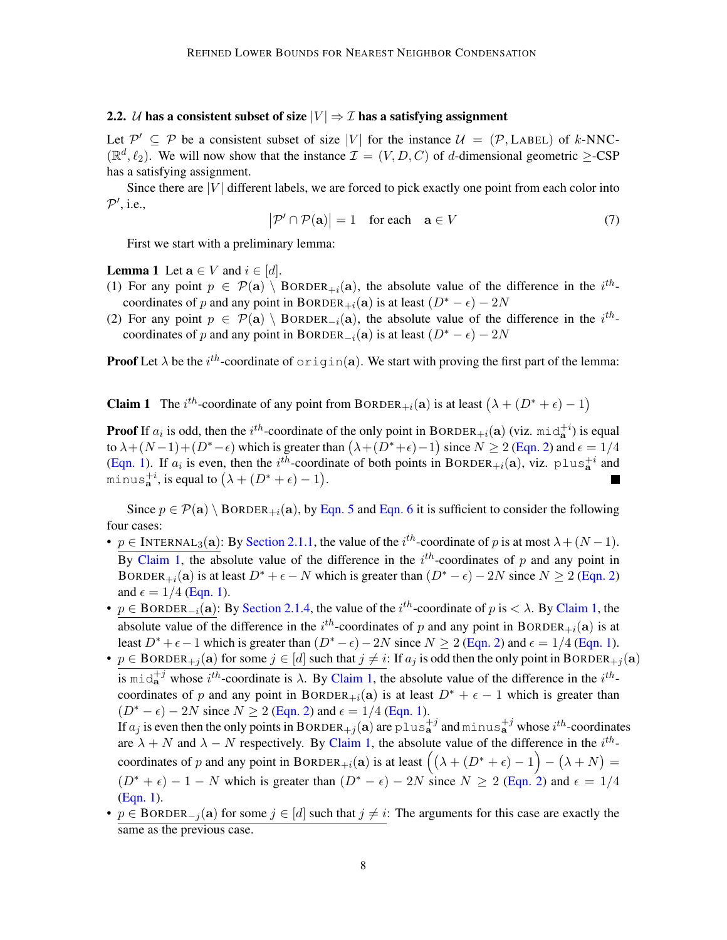### <span id="page-7-0"></span>2.2. U has a consistent subset of size  $|V| \Rightarrow \mathcal{I}$  has a satisfying assignment

Let  $\mathcal{P}' \subseteq \mathcal{P}$  be a consistent subset of size |V| for the instance  $\mathcal{U} = (\mathcal{P}, \text{LABEL})$  of k-NNC- $(\mathbb{R}^d, \ell_2)$ . We will now show that the instance  $\mathcal{I} = (V, D, C)$  of d-dimensional geometric  $\geq$ -CSP has a satisfying assignment.

Since there are  $|V|$  different labels, we are forced to pick exactly one point from each color into  $P'$ , i.e.,

<span id="page-7-3"></span><span id="page-7-2"></span>
$$
|\mathcal{P}' \cap \mathcal{P}(\mathbf{a})| = 1 \quad \text{for each} \quad \mathbf{a} \in V \tag{7}
$$

First we start with a preliminary lemma:

**Lemma 1** Let  $a \in V$  and  $i \in [d]$ .

- (1) For any point  $p \in \mathcal{P}(\mathbf{a}) \setminus \text{BORDER}_{+i}(\mathbf{a})$ , the absolute value of the difference in the  $i^{th}$ coordinates of p and any point in BORDER<sub>+i</sub>(a) is at least  $(D^* - \epsilon) - 2N$
- (2) For any point  $p \in \mathcal{P}(\mathbf{a}) \setminus \text{BORDER}_{-i}(\mathbf{a})$ , the absolute value of the difference in the  $i^{th}$ coordinates of p and any point in BORDER<sub>-i</sub>(a) is at least  $(D^* - \epsilon) - 2N$

<span id="page-7-1"></span>**Proof** Let  $\lambda$  be the  $i^{th}$ -coordinate of  $\text{origin}(a)$ . We start with proving the first part of the lemma:

**Claim 1** The  $i^{th}$ -coordinate of any point from BORDER<sub>+i</sub>(a) is at least  $(\lambda + (D^* + \epsilon) - 1)$ 

**Proof** If  $a_i$  is odd, then the i<sup>th</sup>-coordinate of the only point in BORDER<sub>+i</sub>(a) (viz. mid<sub>a</sub><sup>+i</sup>) is equal to  $\lambda + (N-1) + (D^* - \epsilon)$  which is greater than  $(\lambda + (D^* + \epsilon) - 1)$  since  $N \ge 2$  [\(Eqn. 2\)](#page-5-2) and  $\epsilon = 1/4$ [\(Eqn. 1\)](#page-5-1). If  $a_i$  is even, then the i<sup>th</sup>-coordinate of both points in BORDER<sub>+i</sub>(a), viz. plus<sub>a</sub><sup>+i</sup> and minus $_{\mathbf{a}}^{+i}$ , is equal to  $(\lambda + (D^* + \epsilon) - 1)$ .

Since  $p \in \mathcal{P}(\mathbf{a}) \setminus \text{BORDER}_{+i}(\mathbf{a})$ , by [Eqn. 5](#page-6-0) and [Eqn. 6](#page-6-1) it is sufficient to consider the following four cases:

- $p \in \text{INTERNAL}_3(\mathbf{a})$ : By [Section 2.1.1,](#page-5-3) the value of the  $i^{th}$ -coordinate of p is at most  $\lambda + (N-1)$ . By [Claim 1,](#page-7-1) the absolute value of the difference in the  $i^{th}$ -coordinates of p and any point in BORDER<sub>+i</sub>(a) is at least  $D^* + \epsilon - N$  which is greater than  $(D^* - \epsilon) - 2N$  since  $N \ge 2$  [\(Eqn. 2\)](#page-5-2) and  $\epsilon = 1/4$  [\(Eqn. 1\)](#page-5-1).
- $p \in \text{BORDER}_{-i}(\mathbf{a})$ : By [Section 2.1.4,](#page-6-2) the value of the  $i^{th}$ -coordinate of  $p$  is  $\langle \lambda \rangle$ . By [Claim 1,](#page-7-1) the absolute value of the difference in the  $i<sup>th</sup>$ -coordinates of p and any point in BORDER<sub>+i</sub>(a) is at least  $D^* + \epsilon - 1$  which is greater than  $(D^* - \epsilon) - 2N$  since  $N \ge 2$  [\(Eqn. 2\)](#page-5-2) and  $\epsilon = 1/4$  [\(Eqn. 1\)](#page-5-1).
- $p \in B$ ORDER<sub>+j</sub>(a) for some  $j \in [d]$  such that  $j \neq i$ : If  $a_j$  is odd then the only point in BORDER<sub>+j</sub>(a) is mid $a^{+j}$  whose  $i^{th}$ -coordinate is  $\lambda$ . By [Claim 1,](#page-7-1) the absolute value of the difference in the  $i^{th}$ coordinates of p and any point in BORDER<sub>+i</sub>(a) is at least  $D^* + \epsilon - 1$  which is greater than  $(D^* - \epsilon) - 2N$  since  $N \ge 2$  [\(Eqn. 2\)](#page-5-2) and  $\epsilon = 1/4$  [\(Eqn. 1\)](#page-5-1). If  $a_j$  is even then the only points in BORDER<sub>+j</sub>(a) are plus<sub>a</sub><sup>+j</sup> and minus<sub>a</sub><sup>+j</sup> whose *i*<sup>th</sup>-coordinates are  $\lambda + N$  and  $\lambda - N$  respectively. By [Claim 1,](#page-7-1) the absolute value of the difference in the  $i^{th}$ 
	- coordinates of p and any point in BORDER<sub>+i</sub>(a) is at least  $((\lambda + (D^* + \epsilon) 1) (\lambda + N) =$  $(D^* + \epsilon) - 1 - N$  which is greater than  $(D^* - \epsilon) - 2N$  since  $N \ge 2$  [\(Eqn. 2\)](#page-5-2) and  $\epsilon = 1/4$ [\(Eqn. 1\)](#page-5-1).
- $p \in \text{BORDER}_{-i}(\mathbf{a})$  for some  $j \in [d]$  such that  $j \neq i$ : The arguments for this case are exactly the same as the previous case.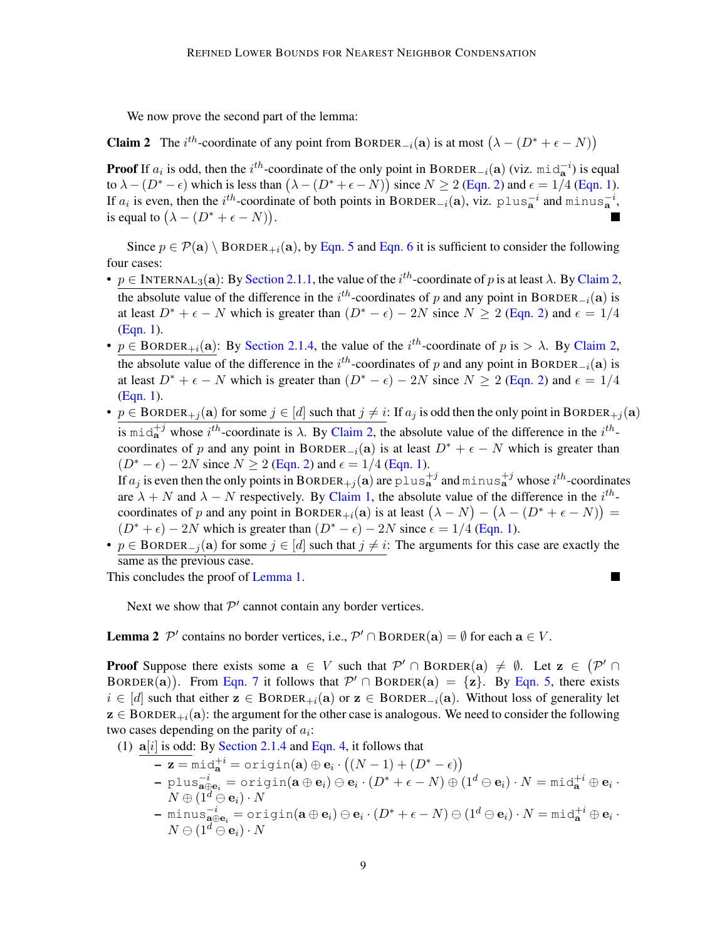<span id="page-8-0"></span>We now prove the second part of the lemma:

**Claim 2** The  $i^{th}$ -coordinate of any point from BORDER<sub>-i</sub>(a) is at most  $(\lambda - (D^* + \epsilon - N))$ 

**Proof** If  $a_i$  is odd, then the  $i^{th}$ -coordinate of the only point in BORDER<sub>-i</sub>(a) (viz. mid<sub>a</sub><sup>-i</sup>) is equal to  $\lambda - (D^* - \epsilon)$  which is less than  $(\lambda - (D^* + \epsilon - N))$  since  $N \ge 2$  [\(Eqn. 2\)](#page-5-2) and  $\epsilon = 1/4$  [\(Eqn. 1\)](#page-5-1). If  $a_i$  is even, then the i<sup>th</sup>-coordinate of both points in BORDER<sub>-i</sub>(a), viz. plus<sub>a</sub><sup>-i</sup> and minus<sub>a</sub><sup>-i</sup>, is equal to  $(\lambda - (D^* + \epsilon - N)).$ 

Since  $p \in \mathcal{P}(\mathbf{a}) \setminus \text{BORDER}_{+i}(\mathbf{a}),$  by [Eqn. 5](#page-6-0) and [Eqn. 6](#page-6-1) it is sufficient to consider the following four cases:

- $p \in \text{INTERNAL}_3(\mathbf{a})$ : By [Section 2.1.1,](#page-5-3) the value of the  $i^{th}$ -coordinate of p is at least  $\lambda$ . By [Claim 2,](#page-8-0) the absolute value of the difference in the  $i^{th}$ -coordinates of p and any point in BORDER<sub>-i</sub>(a) is at least  $D^* + \epsilon - N$  which is greater than  $(D^* - \epsilon) - 2N$  since  $N \ge 2$  [\(Eqn. 2\)](#page-5-2) and  $\epsilon = 1/4$ [\(Eqn. 1\)](#page-5-1).
- $p \in \text{BORDER}_{+i}(\mathbf{a})$ : By [Section 2.1.4,](#page-6-2) the value of the  $i^{th}$ -coordinate of  $p$  is  $> \lambda$ . By [Claim 2,](#page-8-0) the absolute value of the difference in the  $i^{th}$ -coordinates of p and any point in BORDER<sub>-i</sub>(a) is at least  $D^* + \epsilon - N$  which is greater than  $(D^* - \epsilon) - 2N$  since  $N \ge 2$  [\(Eqn. 2\)](#page-5-2) and  $\epsilon = 1/4$ [\(Eqn. 1\)](#page-5-1).
- $p \in \text{BORDER}_{+j}(\mathbf{a})$  for some  $j \in [d]$  such that  $j \neq i$ : If  $a_j$  is odd then the only point in BORDER<sub>+j</sub>( $\mathbf{a}$ ) is  $\text{mid}_{a}^{+j}$  whose  $i^{th}$ -coordinate is  $\lambda$ . By [Claim 2,](#page-8-0) the absolute value of the difference in the  $i^{th}$ coordinates of p and any point in BORDER<sub> $-i$ </sub>(a) is at least  $D^* + \epsilon - N$  which is greater than  $(D^* - \epsilon) - 2N$  since  $N \ge 2$  [\(Eqn. 2\)](#page-5-2) and  $\epsilon = 1/4$  [\(Eqn. 1\)](#page-5-1). If  $a_j$  is even then the only points in BORDER<sub>+j</sub>(a) are plus<sub>a</sub><sup>+j</sup> and minus<sub>a</sub><sup>+j</sup> whose *i*<sup>th</sup>-coordinates are  $\lambda + N$  and  $\lambda - N$  respectively. By [Claim 1,](#page-7-1) the absolute value of the difference in the  $i^{th}$ coordinates of p and any point in BORDER<sub>+i</sub>(a) is at least  $(\lambda - N) - (\lambda - (D^* + \epsilon - N)) =$
- $(D^* + \epsilon) 2N$  which is greater than  $(D^* \epsilon) 2N$  since  $\epsilon = 1/4$  [\(Eqn. 1\)](#page-5-1).
- $p \in \text{BORDER}_{-i}(\mathbf{a})$  for some  $j \in [d]$  such that  $j \neq i$ : The arguments for this case are exactly the same as the previous case.

×

This concludes the proof of [Lemma 1.](#page-7-2)

Next we show that  $\mathcal{P}'$  cannot contain any border vertices.

<span id="page-8-1"></span>**Lemma 2**  $\mathcal{P}'$  contains no border vertices, i.e.,  $\mathcal{P}' \cap \text{BORDER}(\mathbf{a}) = \emptyset$  for each  $\mathbf{a} \in V$ .

**Proof** Suppose there exists some  $a \in V$  such that  $\mathcal{P}' \cap B$ ORDER $(a) \neq \emptyset$ . Let  $z \in (\mathcal{P}' \cap B)$ BORDER(a)). From [Eqn. 7](#page-7-3) it follows that  $\mathcal{P}' \cap B$ ORDER(a) = {z}. By [Eqn. 5,](#page-6-0) there exists  $i \in [d]$  such that either  $z \in \text{BORDER}_{+i}(\mathbf{a})$  or  $z \in \text{BORDER}_{-i}(\mathbf{a})$ . Without loss of generality let  $z \in \text{BORDER}_{+i}(\mathbf{a})$ : the argument for the other case is analogous. We need to consider the following two cases depending on the parity of  $a_i$ :

(1)  $a[i]$  is odd: By [Section 2.1.4](#page-6-2) and [Eqn. 4,](#page-5-4) it follows that

- $\mathbf{-z} = \texttt{mid}_{\mathbf{a}}^{+i} = \texttt{origin}(\mathbf{a}) \oplus \mathbf{e}_i \cdot ((N-1) + (D^* \epsilon))$
- $-$  plus $\frac{-i}{\mathbf{a}\oplus\mathbf{e}_i}=\texttt{origin}(\mathbf{a}\oplus\mathbf{e}_i)\ominus\mathbf{e}_i\cdot(D^*+\epsilon-N)\oplus(1^d\ominus\mathbf{e}_i)\cdot N=\texttt{mid}^+_\mathbf{a} \oplus \mathbf{e}_i\cdot$  $N \oplus (1^d \ominus \mathbf{e}_i) \cdot N$
- $-$  minus $\frac{-i}{\mathbf{a}\oplus\mathbf{e}_i}=\texttt{origin}(\mathbf{a}\oplus\mathbf{e}_i)\ominus\mathbf{e}_i\cdot(D^*+\epsilon-N)\ominus(1^d\ominus\mathbf{e}_i)\cdot N=\texttt{mid}^+_\mathbf{a} \oplus \mathbf{e}_i\cdot$  $N \ominus (1^d \ominus \mathbf{e}_i) \cdot N$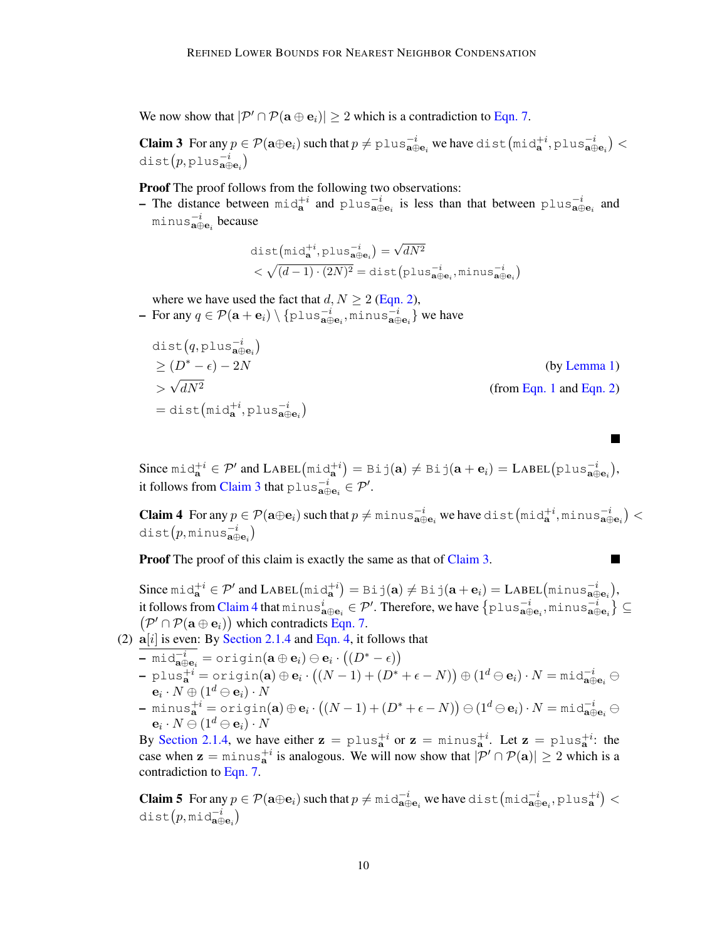We now show that  $|\mathcal{P}' \cap \mathcal{P}(\mathbf{a} \oplus \mathbf{e}_i)| \geq 2$  which is a contradiction to [Eqn. 7.](#page-7-3)

<span id="page-9-0"></span>**Claim 3** For any  $p \in \mathcal{P}(\mathbf{a} \oplus \mathbf{e}_i)$  such that  $p \neq p \text{lus}_{\mathbf{a} \oplus \mathbf{e}_i}^{-i}$  we have  $\text{dist}(\text{mid}_{\mathbf{a}}^{+i}, p \text{lus}_{\mathbf{a} \oplus \mathbf{e}_i}^{-i})$  $dist(p, \text{plus}_{\mathbf{a}\oplus \mathbf{e}_i}^{-i})$ 

Proof The proof follows from the following two observations:

- The distance between  $\text{mid}_{a}^{+i}$  and  $\text{plus}_{a \oplus e_i}^{-i}$  is less than that between  $\text{plus}_{a \oplus e_i}^{-i}$  and minus $_{\mathbf{a}\oplus\mathbf{e}_i}^{-i}$  because

$$
\begin{aligned} &\texttt{dist}\big(\texttt{mid}_{\mathbf{a}}^{+i}, \texttt{plus}_{\mathbf{a}\oplus \mathbf{e}_i}^{-i}\big) = \sqrt{dN^2} \\ &< \sqrt{(d-1)\cdot (2N)^2} = \texttt{dist}\big(\texttt{plus}_{\mathbf{a}\oplus \mathbf{e}_i}^{-i}, \texttt{minus}_{\mathbf{s}\oplus \mathbf{e}_i}\big) \end{aligned}
$$

where we have used the fact that  $d, N \ge 2$  [\(Eqn. 2\)](#page-5-2),

 $-$  For any  $q \in \mathcal{P}(\mathbf{a} + \mathbf{e}_i) \setminus \{ \texttt{plus}_{\mathbf{a} \oplus \mathbf{e}_i}^{-i}, \texttt{minus}_{\mathbf{a} \oplus \mathbf{e}_i}^{-i} \}$  we have

$$
dist(q, plus \vec{a} \theta_{\theta})
$$
  
\n
$$
\geq (D^* - \epsilon) - 2N
$$
 (by Lemma 1)  
\n
$$
> \sqrt{dN^2}
$$
  
\n
$$
= dist(mid_{\mathbf{a}}^{+i}, plus \vec{a} \theta_{\theta_i})
$$
 (from Eqn. 1 and Eqn. 2)

Since  $\text{mid}_{\mathbf{a}}^{+i} \in \mathcal{P}'$  and  $\text{LABEL}(\text{mid}_{\mathbf{a}}^{+i}) = \text{Bij}(\mathbf{a}) \neq \text{Bij}(\mathbf{a} + \mathbf{e}_i) = \text{LABEL}(\text{plus}_{\mathbf{a}\oplus \mathbf{e}_i}^{-i}),$ it follows from [Claim 3](#page-9-0) that plus $\overline{\mathbf{a}}_{\mathbf{a}\oplus\mathbf{e}_i}^i \in \mathcal{P}'.$ 

<span id="page-9-1"></span>**Claim 4** For any  $p \in \mathcal{P}(\mathbf{a} \oplus \mathbf{e}_i)$  such that  $p \neq \text{minus}^{-i}_{\mathbf{a} \oplus \mathbf{e}_i}$  we have dist  $(\text{mid}_{\mathbf{a}}^{+i}, \text{minus}_{\mathbf{a} \oplus \mathbf{e}_i})$  <  $\texttt{dist}(p, \texttt{minus}_{\mathbf{a}\oplus \mathbf{e}_i})$ 

٠

**Proof** The proof of this claim is exactly the same as that of [Claim 3.](#page-9-0)

Since  $\text{mid}_{\mathbf{a}}^{+i} \in \mathcal{P}'$  and  $\text{LABEL}(\text{mid}_{\mathbf{a}}^{+i}) = \text{Bi } \text{j}(\mathbf{a}) \neq \text{Bi } \text{j}(\mathbf{a} + \mathbf{e}_i) = \text{LABEL}(\text{minus}_{\mathbf{a}\oplus\mathbf{e}_i}^{-i}),$ it follows from [Claim 4](#page-9-1) that  $\min$ u $\text{s}_{\textbf{a}\oplus\textbf{e}_i}^i\in\mathcal{P}'$ . Therefore, we have  $\left\{\text{plus}_{\textbf{a}\oplus\textbf{e}_i}^{-i},\text{minus}_{\textbf{a}\oplus\textbf{e}_i}^{-i}\right\}\subseteq$  $(\mathcal{P}' \cap \mathcal{P}(\mathbf{a} \oplus \mathbf{e}_i))$  which contradicts [Eqn. 7.](#page-7-3)

- (2)  $a[i]$  is even: By [Section 2.1.4](#page-6-2) and [Eqn. 4,](#page-5-4) it follows that
	- $-$  mid $_{\mathbf{a}\oplus\mathbf{e}_i}^{-i} =$  origin $(\mathbf{a} \oplus \mathbf{e}_i) \ominus \mathbf{e}_i \cdot ((D^* \epsilon))$  $-$  plus $_{\mathbf{a}}^{+i} = \operatorname{origin}(\mathbf{a}) \oplus \mathbf{e}_i \cdot ((N-1) + (D^* + \epsilon - N)) \oplus (1^d \ominus \mathbf{e}_i) \cdot N = \textstyle{\mathfrak{mid}_{\mathbf{a} \oplus \mathbf{e}_i}^{-i}} \ominus$  $\mathbf{e}_i\cdot N \oplus (1^d \ominus \mathbf{e}_i)\cdot N$  $\mathbf{p} = \text{minus}_{\mathbf{a}}^{+i} = \text{origin}(\mathbf{a}) \oplus \mathbf{e}_i \cdot \big((N-1) + (D^* + \epsilon - N) \big) \ominus (1^d \ominus \mathbf{e}_i) \cdot N = \text{mid}_{\mathbf{a} \oplus \mathbf{e}_i}^{-i} \ominus$  $\mathbf{e}_i\cdot N \ominus (1^d \ominus \mathbf{e}_i)\cdot N$

By [Section 2.1.4,](#page-6-2) we have either  $z = \text{plus}_{a}^{+i}$  or  $z = \text{minus}_{a}^{+i}$ . Let  $z = \text{plus}_{a}^{+i}$ : the case when  $z = minus_{a}^{+i}$  is analogous. We will now show that  $|\mathcal{P}' \cap \mathcal{P}(a)| \ge 2$  which is a contradiction to [Eqn. 7.](#page-7-3)

<span id="page-9-2"></span>**Claim 5** For any  $p \in \mathcal{P}(\mathbf{a} \oplus \mathbf{e}_i)$  such that  $p \neq \text{mid}_{\mathbf{a} \oplus \mathbf{e}_i}$  we have dist  $(\text{mid}_{\mathbf{a} \oplus \mathbf{e}_i}, \text{plus}_{\mathbf{a}}^{+i})$  $dist(p, \texttt{mid}_{\mathbf{a}\oplus \mathbf{e}_i})$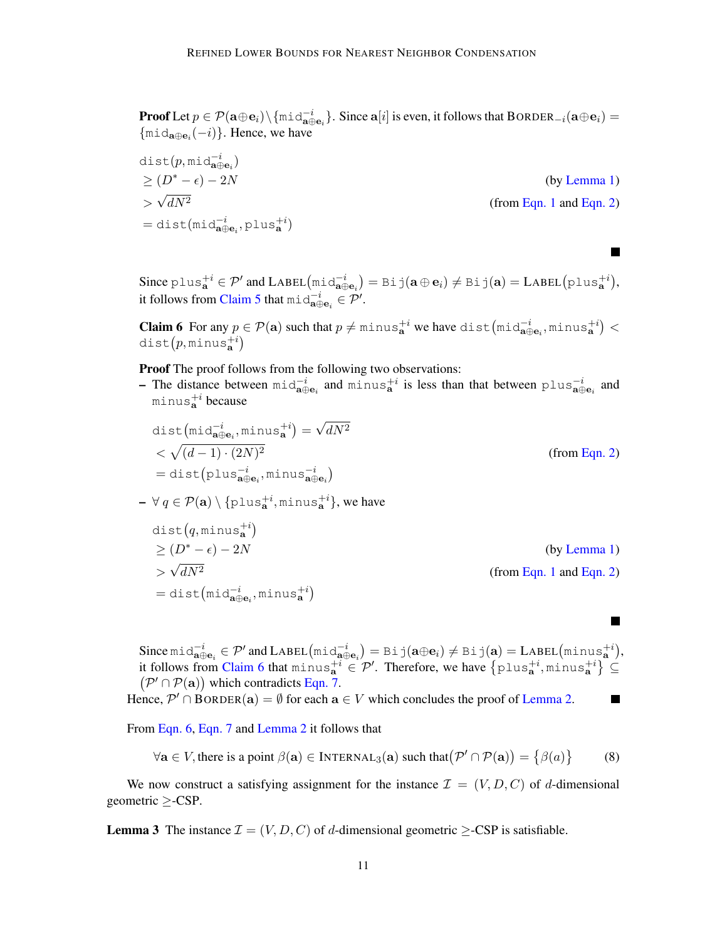**Proof** Let  $p \in \mathcal{P}(\mathbf{a} \oplus \mathbf{e}_i) \setminus \{\text{mid}_{\mathbf{a} \oplus \mathbf{e}_i}\}$ . Since  $\mathbf{a}[i]$  is even, it follows that  $\text{BORDER}_{-i}(\mathbf{a} \oplus \mathbf{e}_i)$  $\{\text{mid}_{a \oplus e_i}(-i)\}.$  Hence, we have

 $\textsf{dist}(p, \textsf{mid}_{\mathbf{a}\oplus\mathbf{e}_i}^{-i})$  $> (D^* - \epsilon) - 2N$  (by [Lemma 1\)](#page-7-2) > √ (from [Eqn. 1](#page-5-1) and [Eqn. 2\)](#page-5-2)  $=$ dist(mid $a_{\mathbf{a}\oplus\mathbf{e}_i}^{\dagger}$ ,plus $_{\mathbf{a}}^{+i}$ )

Since  $\text{plus}_{\mathbf{a}}^{+i} \in \mathcal{P}'$  and  $\text{LABEL}(\text{mid}_{\mathbf{a}\oplus\mathbf{e}_i}) = \text{Bi } \text{j}(\mathbf{a} \oplus \mathbf{e}_i) \neq \text{Bi } \text{j}(\mathbf{a}) = \text{LABEL}(\text{plus}_{\mathbf{a}}^{+i}),$ it follows from [Claim 5](#page-9-2) that  $\text{mid}_{\mathbf{a} \oplus \mathbf{e}_i}^{-i} \in \mathcal{P}'$ .

**T** 

<span id="page-10-1"></span> $\blacksquare$ 

<span id="page-10-0"></span>**Claim 6** For any  $p \in \mathcal{P}(\mathbf{a})$  such that  $p \neq \text{minus}_{\mathbf{a}}^{+i}$  we have  $\text{dist}(\text{mid}_{\mathbf{a}\oplus\mathbf{e}_i},\text{minus}_{\mathbf{a}}^{+i})$  $dist(p, \texttt{minus}_a^{+i})$ 

Proof The proof follows from the following two observations:

- The distance between  $\text{mid}_{a \oplus e_i}^{-i}$  and  $\text{minus}_{a}^{+i}$  is less than that between  $p\text{lus}_{a \oplus e_i}^{-i}$  and minus $_{\mathbf{a}}^{+i}$  because

$$
dist(mid_{\mathbf{a}\oplus\mathbf{e}_i}^{-i}, \text{minus}_{\mathbf{a}}^{+i}) = \sqrt{dN^2}
$$
  
<  $\sqrt{(d-1)\cdot (2N)^2}$   
 $= dist(plus_{\mathbf{a}\oplus\mathbf{e}_i}^{-i}, \text{minus}_{\mathbf{a}\oplus\mathbf{e}_i})$  (from Eqn. 2)

$$
- \ \forall \ q \in \mathcal{P}(\mathbf{a}) \setminus \{\text{plus}_{\mathbf{a}}^{+i}, \text{minus}_{\mathbf{a}}^{+i}\}, \text{ we have}
$$

$$
dist(q, \text{minus}_{\mathbf{a}}^{+i})
$$
  
\n
$$
\geq (D^* - \epsilon) - 2N
$$
 (by Lemma 1)  
\n
$$
> \sqrt{dN^2}
$$
  
\n
$$
= dist(\text{mid}_{\mathbf{a}\oplus\mathbf{e}_i}, \text{minus}_{\mathbf{a}}^{+i})
$$
 (from Eqn. 1 and Eqn. 2)

Since  $\text{mid}_{\mathbf{a}\oplus\mathbf{e}_i} \in \mathcal{P}'$  and  $\text{LABEL}(\text{mid}_{\mathbf{a}\oplus\mathbf{e}_i}) = \text{Bi } \text{j}(\mathbf{a}\oplus\mathbf{e}_i) \neq \text{Bi } \text{j}(\mathbf{a}) = \text{LABEL}(\text{minus}_{\mathbf{a}}^{+i}),$ it follows from [Claim 6](#page-10-0) that  $\min_{\mathbf{a}} s_{\mathbf{a}}^{+i} \in \mathcal{P}'$ . Therefore, we have  $\{\text{plus}_{\mathbf{a}}^{+i}, \text{minus}_{\mathbf{a}}^{+i}\}\subseteq$  $(\mathcal{P}' \cap \mathcal{P}(\mathbf{a}))$  which contradicts [Eqn. 7.](#page-7-3)

Hence,  $\mathcal{P}' \cap \text{BORDER}(\mathbf{a}) = \emptyset$  for each  $\mathbf{a} \in V$  which concludes the proof of [Lemma 2.](#page-8-1)

From [Eqn. 6,](#page-6-1) [Eqn. 7](#page-7-3) and [Lemma 2](#page-8-1) it follows that

$$
\forall \mathbf{a} \in V, \text{there is a point } \beta(\mathbf{a}) \in \text{INTERNAL}_3(\mathbf{a}) \text{ such that } (\mathcal{P}' \cap \mathcal{P}(\mathbf{a})) = \{ \beta(a) \} \tag{8}
$$

We now construct a satisfying assignment for the instance  $\mathcal{I} = (V, D, C)$  of d-dimensional geometric  $\geq$ -CSP.

<span id="page-10-2"></span>**Lemma 3** The instance  $\mathcal{I} = (V, D, C)$  of d-dimensional geometric >-CSP is satisfiable.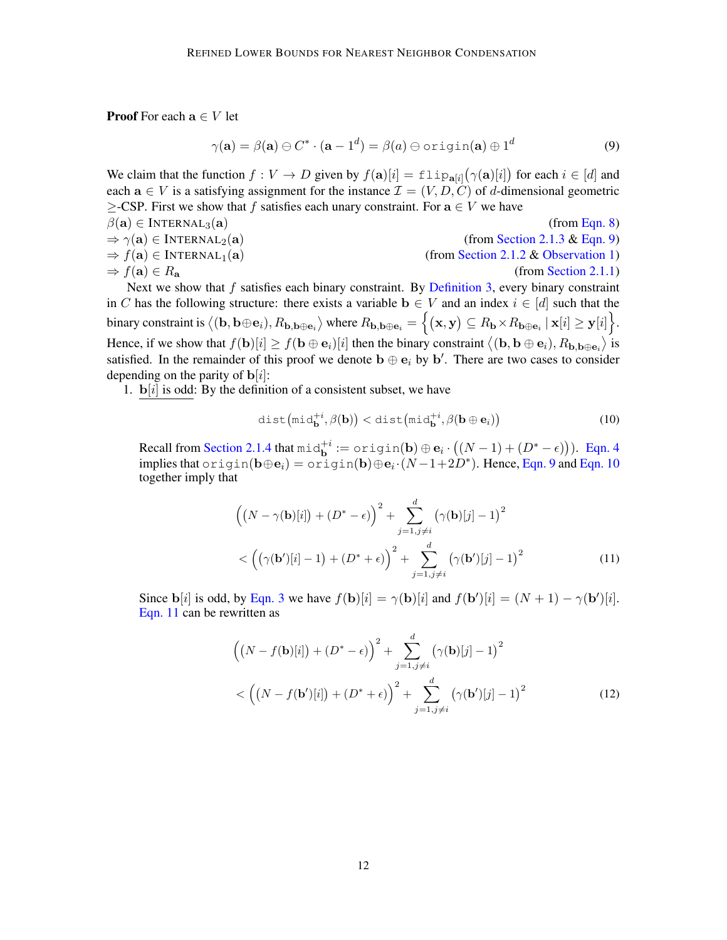**Proof** For each  $a \in V$  let

<span id="page-11-0"></span>
$$
\gamma(\mathbf{a}) = \beta(\mathbf{a}) \ominus C^* \cdot (\mathbf{a} - 1^d) = \beta(a) \ominus \text{origin}(\mathbf{a}) \oplus 1^d \tag{9}
$$

We claim that the function  $f: V \to D$  given by  $f(\mathbf{a})[i] = \text{flip}_{\mathbf{a}[i]}(\gamma(\mathbf{a})[i])$  for each  $i \in [d]$  and each  $a \in V$  is a satisfying assignment for the instance  $\mathcal{I} = (V, D, C)$  of d-dimensional geometric  $\geq$ -CSP. First we show that f satisfies each unary constraint. For  $a \in V$  we have  $\beta(\mathbf{a}) \in \text{INTERNAL}_3(\mathbf{a})$  (from [Eqn. 8\)](#page-10-1)  $\Rightarrow \gamma(\mathbf{a}) \in \text{INTERNAL}_2(\mathbf{a})$  (from [Section 2.1.3](#page-5-5) & [Eqn. 9\)](#page-11-0)  $\Rightarrow f(\mathbf{a}) \in \text{INTERNAL}_1(\mathbf{a})$  (from [Section 2.1.2](#page-5-6) & [Observation 1\)](#page-5-7)  $\Rightarrow f(\mathbf{a}) \in R_{\mathbf{a}}$  (from [Section 2.1.1\)](#page-5-3) Next we show that  $f$  satisfies each binary constraint. By [Definition 3,](#page-3-1) every binary constraint in C has the following structure: there exists a variable  $\mathbf{b} \in V$  and an index  $i \in [d]$  such that the binary constraint is  $\big\langle (\textbf{b},\textbf{b}\oplus\textbf{e}_i),R_{\textbf{b},\textbf{b}\oplus\textbf{e}_i}\big\rangle$  where  $R_{\textbf{b},\textbf{b}\oplus\textbf{e}_i}=\Big\{(\textbf{x},\textbf{y})\subseteq R_{\textbf{b}}\times R_{\textbf{b}\oplus\textbf{e}_i}\mid \textbf{x}[i]\geq \textbf{y}[i]\Big\}.$ Hence, if we show that  $f(\mathbf{b})[i] \ge f(\mathbf{b} \oplus \mathbf{e}_i)[i]$  then the binary constraint  $\langle (\mathbf{b}, \mathbf{b} \oplus \mathbf{e}_i), R_{\mathbf{b}, \mathbf{b} \oplus \mathbf{e}_i} \rangle$  is satisfied. In the remainder of this proof we denote  $\mathbf{b} \oplus \mathbf{e}_i$  by  $\mathbf{b}'$ . There are two cases to consider

depending on the parity of  $\mathbf{b}[i]$ :

1.  $\mathbf{b}[i]$  is odd: By the definition of a consistent subset, we have

<span id="page-11-2"></span><span id="page-11-1"></span>
$$
\text{dist}\left(\text{mid}_{\mathbf{b}}^{+i}, \beta(\mathbf{b})\right) < \text{dist}\left(\text{mid}_{\mathbf{b}}^{+i}, \beta(\mathbf{b} \oplus \mathbf{e}_i)\right) \tag{10}
$$

Recall from [Section 2.1.4](#page-6-2) that  $\text{mid}_{\mathbf{b}}^{+i} := \text{origin}(\mathbf{b}) \oplus \mathbf{e}_i \cdot ((N-1) + (D^* - \epsilon))$ ). [Eqn. 4](#page-5-4) implies that origin( $\mathbf{b} \oplus \mathbf{e}_i$ ) = origin( $\mathbf{b}$ ) $\oplus \mathbf{e}_i \cdot (N-1+2D^*)$ . Hence, [Eqn. 9](#page-11-0) and [Eqn. 10](#page-11-1) together imply that

$$
\left(\left(N-\gamma(\mathbf{b})[i]\right) + \left(D^* - \epsilon\right)\right)^2 + \sum_{j=1, j\neq i}^d \left(\gamma(\mathbf{b})[j] - 1\right)^2
$$
  
< 
$$
< \left(\left(\gamma(\mathbf{b}')[i] - 1\right) + \left(D^* + \epsilon\right)\right)^2 + \sum_{j=1, j\neq i}^d \left(\gamma(\mathbf{b}')[j] - 1\right)^2
$$
 (11)

Since  $\mathbf{b}[i]$  is odd, by [Eqn. 3](#page-5-8) we have  $f(\mathbf{b})[i] = \gamma(\mathbf{b})[i]$  and  $f(\mathbf{b}')[i] = (N+1) - \gamma(\mathbf{b}')[i]$ . [Eqn. 11](#page-11-2) can be rewritten as

<span id="page-11-3"></span>
$$
\left( \left( N - f(\mathbf{b})[i] \right) + \left( D^* - \epsilon \right) \right)^2 + \sum_{j=1, j \neq i}^d \left( \gamma(\mathbf{b})[j] - 1 \right)^2
$$
  
< 
$$
< \left( \left( N - f(\mathbf{b'})[i] \right) + \left( D^* + \epsilon \right) \right)^2 + \sum_{j=1, j \neq i}^d \left( \gamma(\mathbf{b'})[j] - 1 \right)^2
$$
 (12)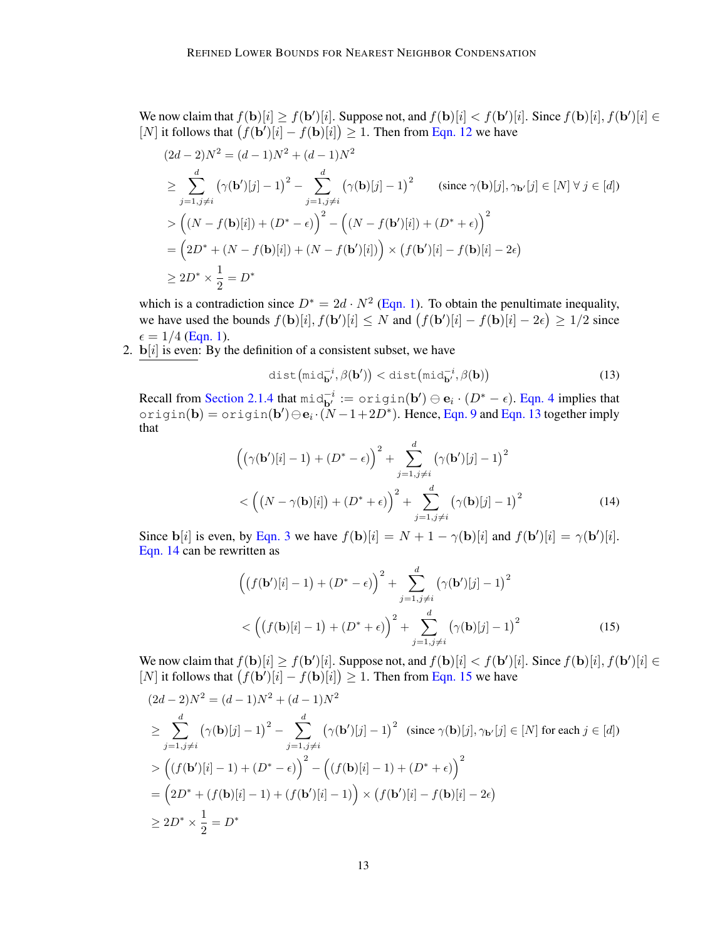We now claim that  $f(\mathbf{b})[i] \ge f(\mathbf{b}')[i]$ . Suppose not, and  $f(\mathbf{b})[i] < f(\mathbf{b}')[i]$ . Since  $f(\mathbf{b})[i]$ ,  $f(\mathbf{b}')[i] \in$ [N] it follows that  $(f(b')[i] - f(b)[i]) \geq 1$ . Then from [Eqn. 12](#page-11-3) we have

$$
(2d - 2)N^2 = (d - 1)N^2 + (d - 1)N^2
$$
  
\n
$$
\geq \sum_{j=1, j \neq i}^{d} (\gamma(\mathbf{b}^i)[j] - 1)^2 - \sum_{j=1, j \neq i}^{d} (\gamma(\mathbf{b})[j] - 1)^2 \qquad (\text{since } \gamma(\mathbf{b})[j], \gamma_{\mathbf{b}^i}[j] \in [N] \forall j \in [d])
$$
  
\n
$$
> ((N - f(\mathbf{b})[i]) + (D^* - \epsilon))^2 - ((N - f(\mathbf{b}^i)[i]) + (D^* + \epsilon))^2
$$
  
\n
$$
= (2D^* + (N - f(\mathbf{b})[i]) + (N - f(\mathbf{b}^i)[i]) \times (f(\mathbf{b}^i)[i] - f(\mathbf{b})[i] - 2\epsilon)
$$
  
\n
$$
\geq 2D^* \times \frac{1}{2} = D^*
$$

which is a contradiction since  $D^* = 2d \cdot N^2$  [\(Eqn. 1\)](#page-5-1). To obtain the penultimate inequality, we have used the bounds  $f(\mathbf{b})[i], f(\mathbf{b}')]i] \leq N$  and  $(f(\mathbf{b}')[i] - f(\mathbf{b})[i] - 2\epsilon) \geq 1/2$  since  $\epsilon = 1/4$  [\(Eqn. 1\)](#page-5-1).

2.  $\mathbf{b}[i]$  is even: By the definition of a consistent subset, we have

<span id="page-12-1"></span><span id="page-12-0"></span>
$$
\text{dist}\left(\text{mid}_{\mathbf{b}'}^{-i}, \beta(\mathbf{b}')\right) < \text{dist}\left(\text{mid}_{\mathbf{b}'}^{-i}, \beta(\mathbf{b})\right) \tag{13}
$$

Recall from [Section 2.1.4](#page-6-2) that  $\text{mid}_{\mathbf{b}'}^{-i} := \text{origin}(\mathbf{b}') \oplus \mathbf{e}_i \cdot (D^* - \epsilon)$ . [Eqn. 4](#page-5-4) implies that origin(b) = origin(b') $\ominus {\bf e}_i\cdot (\v N-1+2D^*)$ . Hence, [Eqn. 9](#page-11-0) and [Eqn. 13](#page-12-0) together imply that

$$
\left( (\gamma(\mathbf{b}^{\prime})[i] - 1) + (D^* - \epsilon) \right)^2 + \sum_{j=1, j \neq i}^{d} (\gamma(\mathbf{b}^{\prime})[j] - 1)^2
$$
  
< 
$$
< \left( (N - \gamma(\mathbf{b})[i]) + (D^* + \epsilon) \right)^2 + \sum_{j=1, j \neq i}^{d} (\gamma(\mathbf{b})[j] - 1)^2
$$
 (14)

Since  $\mathbf{b}[i]$  is even, by [Eqn. 3](#page-5-8) we have  $f(\mathbf{b})[i] = N + 1 - \gamma(\mathbf{b})[i]$  and  $f(\mathbf{b}')[i] = \gamma(\mathbf{b}')[i]$ . [Eqn. 14](#page-12-1) can be rewritten as

<span id="page-12-2"></span>
$$
\left( (f(\mathbf{b}')[i] - 1) + (D^* - \epsilon) \right)^2 + \sum_{j=1, j \neq i}^{d} (\gamma(\mathbf{b}')[j] - 1)^2
$$
  
< 
$$
< \left( (f(\mathbf{b})[i] - 1) + (D^* + \epsilon) \right)^2 + \sum_{j=1, j \neq i}^{d} (\gamma(\mathbf{b})[j] - 1)^2
$$
 (15)

We now claim that  $f(\mathbf{b})[i] \ge f(\mathbf{b}')[i]$ . Suppose not, and  $f(\mathbf{b})[i] < f(\mathbf{b}')[i]$ . Since  $f(\mathbf{b})[i]$ ,  $f(\mathbf{b}')[i] \in$ [N] it follows that  $(f(\mathbf{b}^{\prime})[i] - f(\mathbf{b})[i]) \geq 1$ . Then from [Eqn. 15](#page-12-2) we have

$$
(2d - 2)N^2 = (d - 1)N^2 + (d - 1)N^2
$$
  
\n
$$
\geq \sum_{j=1, j\neq i}^{d} (\gamma(\mathbf{b})[j] - 1)^2 - \sum_{j=1, j\neq i}^{d} (\gamma(\mathbf{b}')[j] - 1)^2 \text{ (since } \gamma(\mathbf{b})[j], \gamma_{\mathbf{b}'}[j] \in [N] \text{ for each } j \in [d])
$$
  
\n
$$
> ((f(\mathbf{b}')[i] - 1) + (D^* - \epsilon))^2 - ((f(\mathbf{b})[i] - 1) + (D^* + \epsilon))^2
$$
  
\n
$$
= (2D^* + (f(\mathbf{b})[i] - 1) + (f(\mathbf{b}')[i] - 1)) \times (f(\mathbf{b}')[i] - f(\mathbf{b})[i] - 2\epsilon)
$$
  
\n
$$
\geq 2D^* \times \frac{1}{2} = D^*
$$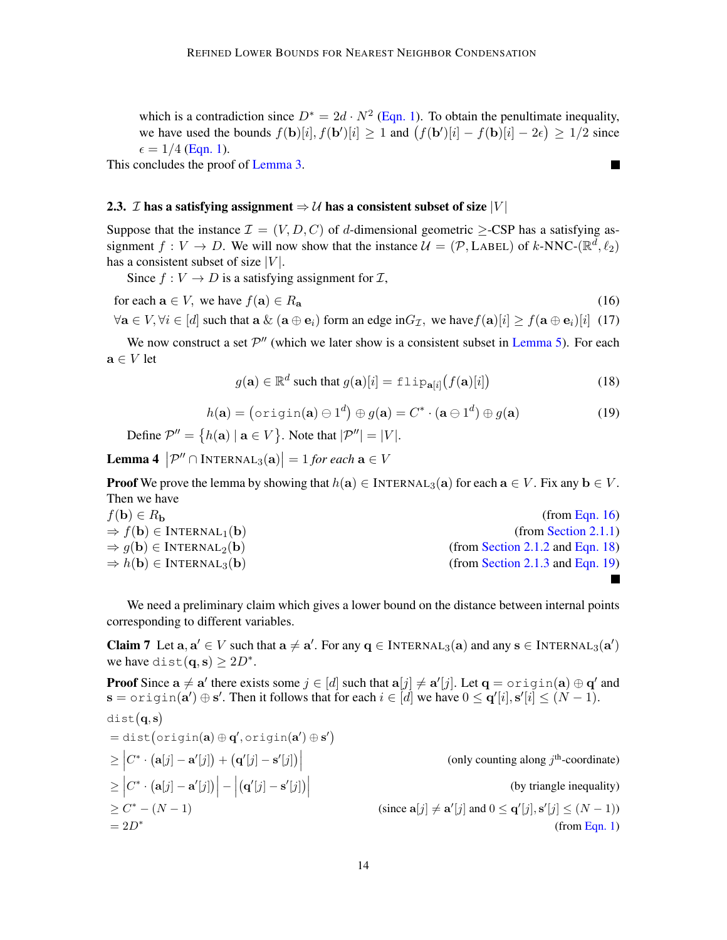which is a contradiction since  $D^* = 2d \cdot N^2$  [\(Eqn. 1\)](#page-5-1). To obtain the penultimate inequality, we have used the bounds  $f(\mathbf{b})[i], f(\mathbf{b}')[i] \ge 1$  and  $(f(\mathbf{b}')[i] - f(\mathbf{b})[i] - 2\epsilon) \ge 1/2$  since  $\epsilon = 1/4$  [\(Eqn. 1\)](#page-5-1).

This concludes the proof of [Lemma 3.](#page-10-2)

#### <span id="page-13-0"></span>2.3. *I* has a satisfying assignment  $\Rightarrow U$  has a consistent subset of size  $|V|$

Suppose that the instance  $\mathcal{I} = (V, D, C)$  of d-dimensional geometric >-CSP has a satisfying assignment  $f: V \to D$ . We will now show that the instance  $\mathcal{U} = (\mathcal{P}, \text{LABEL})$  of k-NNC-( $\mathbb{R}^d, \ell_2$ ) has a consistent subset of size  $|V|$ .

Since  $f: V \to D$  is a satisfying assignment for  $\mathcal{I}$ ,

for each 
$$
\mathbf{a} \in V
$$
, we have  $f(\mathbf{a}) \in R_{\mathbf{a}}$  (16)

 $\forall a \in V, \forall i \in [d]$  such that a  $\&$   $(a \oplus e_i)$  form an edge in  $G_{\mathcal{I}}$ , we have  $f(a)[i] \geq f(a \oplus e_i)[i]$  (17)

We now construct a set  $\mathcal{P}''$  (which we later show is a consistent subset in [Lemma 5\)](#page-14-0). For each  $\mathbf{a} \in V$  let

<span id="page-13-5"></span><span id="page-13-3"></span><span id="page-13-2"></span><span id="page-13-1"></span>
$$
g(\mathbf{a}) \in \mathbb{R}^d \text{ such that } g(\mathbf{a})[i] = \text{flip}_{\mathbf{a}[i]}(f(\mathbf{a})[i]) \tag{18}
$$

$$
h(\mathbf{a}) = (\text{origin}(\mathbf{a}) \ominus 1^d) \oplus g(\mathbf{a}) = C^* \cdot (\mathbf{a} \ominus 1^d) \oplus g(\mathbf{a})
$$
(19)

Define  $\mathcal{P}'' = \{h(\mathbf{a}) \mid \mathbf{a} \in V\}$ . Note that  $|\mathcal{P}''| = |V|$ .

**Lemma 4**  $|\mathcal{P}'' \cap \text{INTERNAL}_3(\mathbf{a})| = 1$  for each  $\mathbf{a} \in V$ 

**Proof** We prove the lemma by showing that  $h(a) \in \text{INTERNAL}_3(a)$  for each  $a \in V$ . Fix any  $b \in V$ . Then we have

| $f(\mathbf{b}) \in R_{\mathbf{b}}$                              | (from Eqn. 16)                   |
|-----------------------------------------------------------------|----------------------------------|
| $\Rightarrow f(\mathbf{b}) \in \text{INTERNAL}_1(\mathbf{b})$   | (from Section 2.1.1)             |
| $\Rightarrow$ $q(\mathbf{b}) \in \text{INTERNAL}_2(\mathbf{b})$ | (from Section 2.1.2 and Eqn. 18) |
| $\Rightarrow h(\mathbf{b}) \in \text{INTERNAL}_3(\mathbf{b})$   | (from Section 2.1.3 and Eqn. 19) |
|                                                                 |                                  |

We need a preliminary claim which gives a lower bound on the distance between internal points corresponding to different variables.

<span id="page-13-4"></span>**Claim 7** Let  $a, a' \in V$  such that  $a \neq a'$ . For any  $q \in \text{INTERNAL}_3(a)$  and any  $s \in \text{INTERNAL}_3(a')$ we have dist $(\mathbf{q}, \mathbf{s}) \ge 2D^*$ .

**Proof** Since  $a \neq a'$  there exists some  $j \in [d]$  such that  $a[j] \neq a'[j]$ . Let  $q =$  origin(a)  $\oplus q'$  and  $\mathbf{s} = \text{origin}(\mathbf{a}') \oplus \mathbf{s}'$ . Then it follows that for each  $i \in [d]$  we have  $0 \leq \mathbf{q}'[i], \mathbf{s}'[i] \leq (N-1)$ . dist $(q,s)$  $= dist(origin(a) \oplus q', origin(a') \oplus s')$  $\geq \Big| C^* \cdot \big( \mathbf{a}[j] - \mathbf{a}'[j] \big) + \big( \mathbf{q}'[j] - \mathbf{s}'[j] \big) \Big|$ (only counting along  $j^{\text{th}}$ -coordinate)  $\geq \Big| C^* \cdot \big( \mathbf{a}[j] - \mathbf{a}'[j] \big) \Big| - \Big|$  $(\mathbf{q}'[j] - \mathbf{s}'[j])$  (by triangle inequality)  $\geq C^* - (N - 1)$ \* – (N – 1) (since  $\mathbf{a}[j] \neq \mathbf{a}'[j]$  and  $0 \leq \mathbf{q}'[j], \mathbf{s}'[j] \leq (N-1)$ )  $= 2D^*$ (from [Eqn. 1\)](#page-5-1)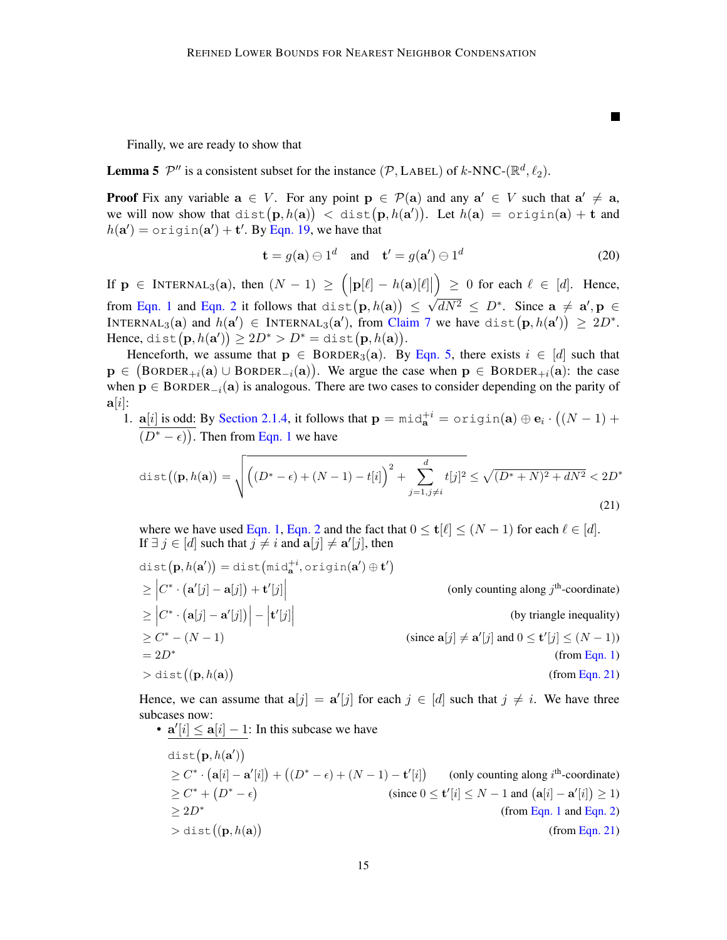Finally, we are ready to show that

<span id="page-14-0"></span>**Lemma 5**  $\mathcal{P}''$  is a consistent subset for the instance  $(\mathcal{P}, \text{LABEL})$  of k-NNC-( $\mathbb{R}^d, \ell_2$ ).

**Proof** Fix any variable  $a \in V$ . For any point  $p \in \mathcal{P}(a)$  and any  $a' \in V$  such that  $a' \neq a$ , we will now show that  $\text{dist}(\mathbf{p}, h(\mathbf{a})) \ < \ \text{dist}(\mathbf{p}, h(\mathbf{a}'))$ . Let  $h(\mathbf{a}) = \text{origin}(\mathbf{a}) + \mathbf{t}$  and  $h(\mathbf{a}') = \text{origin}(\mathbf{a}') + \mathbf{t}'$ . By [Eqn. 19,](#page-13-3) we have that

<span id="page-14-2"></span>
$$
\mathbf{t} = g(\mathbf{a}) \ominus 1^d \quad \text{and} \quad \mathbf{t}' = g(\mathbf{a}') \ominus 1^d \tag{20}
$$

<span id="page-14-1"></span>П

If  $\mathbf{p} \in \text{INTERNAL}_3(\mathbf{a})$ , then  $(N-1) \geq (|\mathbf{p}[\ell]-h(\mathbf{a})[\ell]|$  $\Big) \geq 0$  for each  $\ell \in [d]$ . Hence, from [Eqn. 1](#page-5-1) and [Eqn. 2](#page-5-2) it follows that  $dist(p, h(a)) \leq \sqrt{dN^2} \leq D^*$ . Since  $a \neq a', p \in$ √ INTERNAL<sub>3</sub>(a) and  $h(\mathbf{a}') \in \text{INTERNAL}_3(\mathbf{a}'),$  from [Claim 7](#page-13-4) we have  $\text{dist}\big(\mathbf{p}, h(\mathbf{a}')\big) \geq 2D^*.$ Hence, dist $(\mathbf{p}, h(\mathbf{a}')) \ge 2D^* > D^* = \text{dist}(\mathbf{p}, h(\mathbf{a})).$ 

Henceforth, we assume that  $p \in BORDER_3(a)$ . By [Eqn. 5,](#page-6-0) there exists  $i \in [d]$  such that  $p \in (BORDER_{+i}(a) \cup BORDER_{-i}(a)).$  We argue the case when  $p \in BORDER_{+i}(a)$ : the case when  $p \in BORDER_{-i}(a)$  is analogous. There are two cases to consider depending on the parity of  $a[i]$ :

1.  $a[i]$  is odd: By [Section 2.1.4,](#page-6-2) it follows that  $p = mid_a^{+i} = origin(a) \oplus e_i \cdot ((N - 1) +$  $(D^* - \epsilon)$ ). Then from [Eqn. 1](#page-5-1) we have

dist
$$
(\mathbf{p}, h(\mathbf{a})) = \sqrt{\left( (D^* - \epsilon) + (N - 1) - t[i] \right)^2 + \sum_{j=1, j \neq i}^d t[j]^2} \le \sqrt{(D^* + N)^2 + dN^2} < 2D^* \tag{21}
$$

where we have used [Eqn. 1,](#page-5-1) [Eqn. 2](#page-5-2) and the fact that  $0 \le t[\ell] \le (N-1)$  for each  $\ell \in [d]$ . If  $\exists j \in [d]$  such that  $j \neq i$  and  $\mathbf{a}[j] \neq \mathbf{a}'[j]$ , then

dist(
$$
\mathbf{p}, h(\mathbf{a}')
$$
) = dist( $\text{mid}_{\mathbf{a}}^{+i}$ , origin( $\mathbf{a}'$ )  $\oplus$   $\mathbf{t}'$ )  
\n
$$
\geq |C^* \cdot (\mathbf{a}'[j] - \mathbf{a}[j]) + \mathbf{t}'[j]|
$$
 (only counting along  $j^{\text{th}}$ -coordinate)  
\n
$$
\geq |C^* \cdot (\mathbf{a}[j] - \mathbf{a}'[j])| - |\mathbf{t}'[j]|
$$
 (by triangle inequality)  
\n
$$
\geq C^* - (N - 1)
$$
 (since  $\mathbf{a}[j] \neq \mathbf{a}'[j]$  and  $0 \leq \mathbf{t}'[j] \leq (N - 1)$ )  
\n
$$
= 2D^*
$$
 (from Eqn. 1)  
\n
$$
> dist((\mathbf{p}, h(\mathbf{a}))
$$
 (from Eqn. 21)

Hence, we can assume that  $a[j] = a'[j]$  for each  $j \in [d]$  such that  $j \neq i$ . We have three subcases now:

\n- \n
$$
\mathbf{a}'[i] \leq \mathbf{a}[i] - 1
$$
: In this subcase we have\n  $\text{dist}(\mathbf{p}, h(\mathbf{a}'))$ \n $\geq C^* \cdot (\mathbf{a}[i] - \mathbf{a}'[i]) + ((D^* - \epsilon) + (N - 1) - \mathbf{t}'[i])$ \n (only counting along  $i^{\text{th}}$ -coordinate)\n  $\geq C^* + (D^* - \epsilon)$ \n (since  $0 \leq \mathbf{t}'[i] \leq N - 1$  and  $(\mathbf{a}[i] - \mathbf{a}'[i]) \geq 1$ )\n  $\geq 2D^*$ \n (from Eqn. 1 and Eqn. 2)\n  $\geq \text{dist}((\mathbf{p}, h(\mathbf{a}))$ \n (from Eqn. 21)\n
\n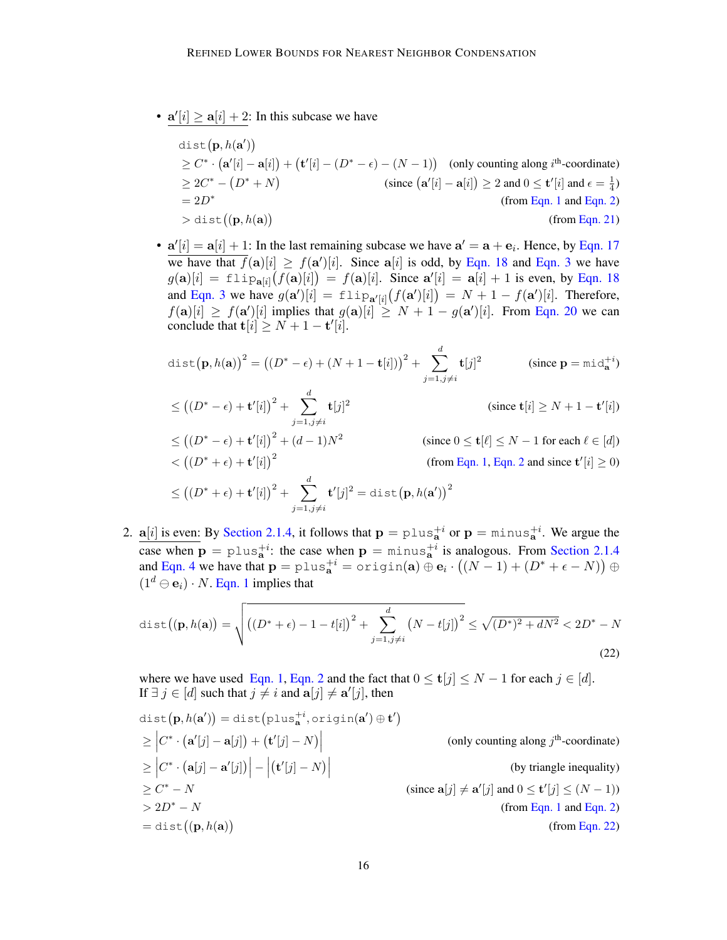•  $a'[i] \ge a[i] + 2$ : In this subcase we have

$$
\begin{aligned}\n\text{dist}(\mathbf{p}, h(\mathbf{a}'))\\
&\geq C^* \cdot (\mathbf{a}'[i] - \mathbf{a}[i]) + (\mathbf{t}'[i] - (D^* - \epsilon) - (N - 1)) \quad \text{(only counting along } i^{\text{th}}\text{-coordinate})\\
&\geq 2C^* - (D^* + N) \qquad \qquad (\text{since } (\mathbf{a}'[i] - \mathbf{a}[i]) \geq 2 \text{ and } 0 \leq \mathbf{t}'[i] \text{ and } \epsilon = \frac{1}{4})\\
&= 2D^* \qquad \qquad (\text{from Eqn. 1 and Eqn. 2})\\
&\gt \text{dist}((\mathbf{p}, h(\mathbf{a})) \qquad \qquad (\text{from Eqn. 21})\n\end{aligned}
$$

•  $a'[i] = a[i] + 1$ : In the last remaining subcase we have  $a' = a + e_i$ . Hence, by [Eqn. 17](#page-13-5) we have that  $\overline{f}(\mathbf{a})[i] \ge f(\mathbf{a}')[i]$ . Since  $\mathbf{a}[i]$  is odd, by [Eqn. 18](#page-13-2) and [Eqn. 3](#page-5-8) we have  $g(\mathbf{a})[i] = \text{flip}_{\mathbf{a}[i]}(f(\mathbf{a})[i]) = f(\mathbf{a})[i]$ . Since  $\mathbf{a}'[i] = \mathbf{a}[i] + 1$  is even, by [Eqn. 18](#page-13-2) and [Eqn. 3](#page-5-8) we have  $g(\mathbf{a}^{\prime})[i] = \pm \ln p_{\mathbf{a}^{\prime}[i]}(f(\mathbf{a}^{\prime})[i]) = N + 1 - f(\mathbf{a}^{\prime})[i]$ . Therefore,  $f(\mathbf{a})[i] \ge f(\mathbf{a}')[i]$  implies that  $g(\mathbf{a})[i] \ge N+1-g(\mathbf{a}')[i]$ . From [Eqn. 20](#page-14-2) we can conclude that  $\mathbf{t}[i] \geq N + 1 - \mathbf{t}'[i].$ 

dist
$$
(\mathbf{p}, h(\mathbf{a}))^2 = ((D^* - \epsilon) + (N + 1 - \mathbf{t}[i]))^2 + \sum_{j=1, j \neq i}^d \mathbf{t}[j]^2
$$
 (since  $\mathbf{p} = \text{mid}_{\mathbf{a}}^{+i}$ )

$$
\leq ((D^* - \epsilon) + \mathbf{t}'[i])^2 + \sum_{j=1, j \neq i}^d \mathbf{t}[j]^2
$$
 (since  $\mathbf{t}[i] \geq N + 1 - \mathbf{t}'[i])$   
\n
$$
\leq ((D^* - \epsilon) + \mathbf{t}'[i])^2 + (d - 1)N^2
$$
 (since  $0 \leq \mathbf{t}[\ell] \leq N - 1$  for each  $\ell \in [d]$ )  
\n
$$
< ((D^* + \epsilon) + \mathbf{t}'[i])^2
$$
 (from Eqn. 1, Eqn. 2 and since  $\mathbf{t}'[i] \geq 0$ )  
\n
$$
\leq ((D^* + \epsilon) + \mathbf{t}'[i])^2 + \sum_{j=1, j \neq i}^d \mathbf{t}'[j]^2 = \text{dist}(\mathbf{p}, h(\mathbf{a}'))^2
$$

2.  $a[i]$  is even: By [Section 2.1.4,](#page-6-2) it follows that  $p = \text{plus}_{a}^{+i}$  or  $p = \text{minus}_{a}^{+i}$ . We argue the case when  $p = \text{plus}_{a}^{+i}$ : the case when  $p = \text{minus}_{a}^{+i}$  is analogous. From [Section 2.1.4](#page-6-2) and [Eqn. 4](#page-5-4) we have that  $\mathbf{p} = \text{plus}_{\mathbf{a}}^{+i} = \text{origin}(\mathbf{a}) \oplus \mathbf{e}_i \cdot ((N-1) + (D^* + \epsilon - N)) \oplus$  $(1^d \ominus \mathbf{e}_i) \cdot N$ . [Eqn. 1](#page-5-1) implies that

<span id="page-15-0"></span>dist
$$
((\mathbf{p}, h(\mathbf{a})) = \sqrt{\left( (D^* + \epsilon) - 1 - t[i] \right)^2 + \sum_{j=1, j \neq i}^{d} (N - t[j])^2} \le \sqrt{(D^*)^2 + dN^2} < 2D^* - N
$$
\n(22)

where we have used [Eqn. 1,](#page-5-1) [Eqn. 2](#page-5-2) and the fact that  $0 \leq t[j] \leq N - 1$  for each  $j \in [d]$ . If  $\exists j \in [d]$  such that  $j \neq i$  and  $\mathbf{a}[j] \neq \mathbf{a}'[j]$ , then

dist(p, h(a')) = dist(plus<sub>a</sub><sup>+</sup>, origin(a') 
$$
\oplus
$$
 t')  
\n
$$
\geq |C^* \cdot (a'[j] - a[j]) + (t'[j] - N)|
$$
 (only counting along j<sup>th</sup>-coordinate)  
\n
$$
\geq |C^* \cdot (a[j] - a'[j])| - |(t'[j] - N)|
$$
 (by triangle inequality)  
\n
$$
\geq C^* - N
$$
 (since a[j]  $\neq a'[j]$  and 0  $\leq t'[j] \leq (N - 1)$ )  
\n
$$
> 2D^* - N
$$
 (from Eqn. 1 and Eqn. 2)  
\n
$$
= dist((p, h(a))
$$
 (from Eqn. 22)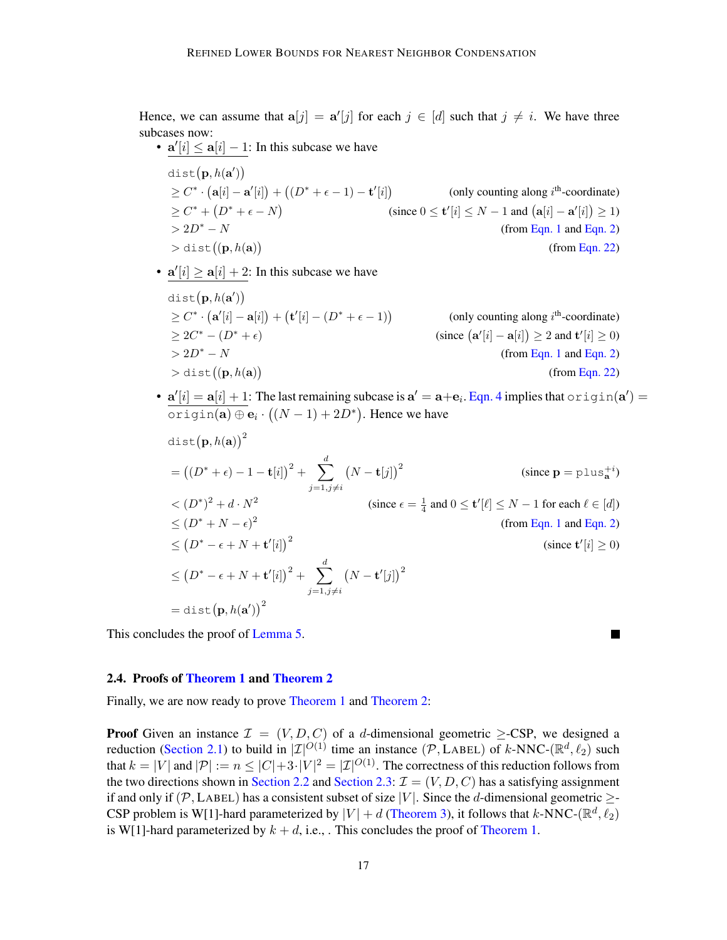Hence, we can assume that  $a[j] = a'[j]$  for each  $j \in [d]$  such that  $j \neq i$ . We have three subcases now:

- $a'[i] \le a[i] 1$ : In this subcase we have  $dist(\mathbf{p}, h(\mathbf{a}'))$  $\geq C^* \cdot (\mathbf{a}[i] - \mathbf{a}'[i]) + ((D^* + \epsilon - 1) - \mathbf{t}'[i])$  (only counting along  $i^{\text{th}}$ -coordinate)  $\geq C^* + (D^* + \epsilon - N)$ (since  $0 \leq \mathbf{t}'[i] \leq N - 1$  and  $(\mathbf{a}[i] - \mathbf{a}'[i]) \geq 1$ )
	- $> 2D^* N$  (from [Eqn. 1](#page-5-1) and [Eqn. 2\)](#page-5-2)
		- (from [Eqn. 22\)](#page-15-0)

•  $a'[i] \ge a[i] + 2$ : In this subcase we have

 $>$  dist $((\mathbf{p}, h(\mathbf{a}))$ 

- $dist(\mathbf{p}, h(\mathbf{a}'))$  $\geq C^* \cdot (\mathbf{a}'[i] - \mathbf{a}[i]) + (\mathbf{t}'[i] - (D^* + \epsilon - 1))$ (only counting along  $i<sup>th</sup>$ -coordinate)  $\geq 2C^* - (D^* + \epsilon)$  (since (  $\mathbf{a}'[i] - \mathbf{a}[i]) \ge 2$  and  $\mathbf{t}'[i] \ge 0$ )  $> 2D^* - N$  (from [Eqn. 1](#page-5-1) and [Eqn. 2\)](#page-5-2)  $>$  dist $((\mathbf{p}, h(\mathbf{a}))$ (from [Eqn. 22\)](#page-15-0)
- $\mathbf{a}'[i] = \mathbf{a}[i] + 1$ : The last remaining subcase is  $\mathbf{a}' = \mathbf{a} + \mathbf{e}_i$ . [Eqn. 4](#page-5-4) implies that  $\text{origin}(\mathbf{a}') =$  $\texttt{origin}(\mathbf{a}) \oplus \mathbf{e}_i \cdot ((N-1) + 2D^*)$ . Hence we have

$$
dist(p, h(a))^{2}
$$
\n
$$
= ((D^{*} + \epsilon) - 1 - t[i])^{2} + \sum_{j=1, j \neq i}^{d} (N - t[j])^{2}
$$
\n
$$
< (D^{*})^{2} + d \cdot N^{2}
$$
\n
$$
< (D^{*})^{2} + d \cdot N^{2}
$$
\n
$$
< (D^{*} + N - \epsilon)^{2}
$$
\n
$$
< (D^{*} + N - \epsilon)^{2}
$$
\n
$$
< (D^{*} - \epsilon + N + t'[i])^{2}
$$
\n
$$
< (D^{*} - \epsilon + N + t'[i])^{2} + \sum_{j=1, j \neq i}^{d} (N - t'[j])^{2}
$$
\n
$$
= dist(p, h(a'))^{2}
$$
\n
$$
(sinc \cdot t'[i] \geq 0)
$$

This concludes the proof of [Lemma 5.](#page-14-0)

#### <span id="page-16-0"></span>2.4. Proofs of [Theorem 1](#page-2-0) and [Theorem 2](#page-2-2)

Finally, we are now ready to prove [Theorem 1](#page-2-0) and [Theorem 2:](#page-2-2)

**Proof** Given an instance  $\mathcal{I} = (V, D, C)$  of a d-dimensional geometric  $\geq$ -CSP, we designed a reduction [\(Section 2.1\)](#page-5-0) to build in  $|\mathcal{I}|^{O(1)}$  time an instance  $(\mathcal{P}, \text{LABEL})$  of k-NNC- $(\mathbb{R}^d, \ell_2)$  such that  $k = |V|$  and  $|\mathcal{P}| := n \leq |C| + 3 \cdot |V|^2 = |\mathcal{I}|^{O(1)}$ . The correctness of this reduction follows from the two directions shown in [Section 2.2](#page-7-0) and [Section 2.3:](#page-13-0)  $\mathcal{I} = (V, D, C)$  has a satisfying assignment if and only if (P, LABEL) has a consistent subset of size |V|. Since the d-dimensional geometric  $\geq$ -CSP problem is W[1]-hard parameterized by  $|V| + d$  [\(Theorem 3\)](#page-4-0), it follows that k-NNC-( $\mathbb{R}^d$ ,  $\ell_2$ ) is W[1]-hard parameterized by  $k + d$ , i.e., This concludes the proof of [Theorem 1.](#page-2-0)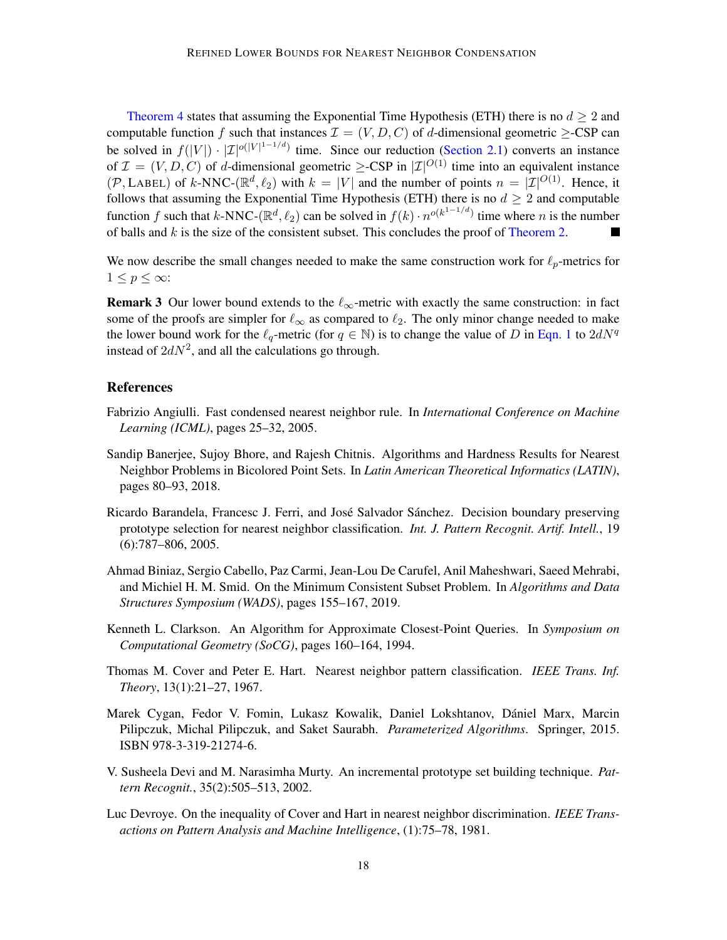[Theorem 4](#page-4-1) states that assuming the Exponential Time Hypothesis (ETH) there is no  $d \geq 2$  and computable function f such that instances  $\mathcal{I} = (V, D, C)$  of d-dimensional geometric  $\geq$ -CSP can be solved in  $f(|V|) \cdot |\mathcal{I}|^{o(|V|^{1-1/d})}$  time. Since our reduction [\(Section 2.1\)](#page-5-0) converts an instance of  $\mathcal{I} = (V, D, C)$  of d-dimensional geometric  $\geq$ -CSP in  $|\mathcal{I}|^{O(1)}$  time into an equivalent instance  $(\mathcal{P}, \text{LABEL})$  of k-NNC- $(\mathbb{R}^d, \ell_2)$  with  $k = |V|$  and the number of points  $n = |\mathcal{I}|^{O(1)}$ . Hence, it follows that assuming the Exponential Time Hypothesis (ETH) there is no  $d \geq 2$  and computable function f such that k-NNC-( $\mathbb{R}^d$ ,  $\ell_2$ ) can be solved in  $f(k) \cdot n^{o(k^{1-1}/d)}$  time where n is the number of balls and  $k$  is the size of the consistent subset. This concludes the proof of [Theorem 2.](#page-2-2) 

<span id="page-17-9"></span>We now describe the small changes needed to make the same construction work for  $\ell_p$ -metrics for  $1 \leq p \leq \infty$ :

**Remark 3** Our lower bound extends to the  $\ell_{\infty}$ -metric with exactly the same construction: in fact some of the proofs are simpler for  $\ell_{\infty}$  as compared to  $\ell_2$ . The only minor change needed to make the lower bound work for the  $\ell_q$ -metric (for  $q \in \mathbb{N}$ ) is to change the value of D in [Eqn. 1](#page-5-1) to  $2dN^q$ instead of  $2dN^2$ , and all the calculations go through.

## **References**

- <span id="page-17-4"></span>Fabrizio Angiulli. Fast condensed nearest neighbor rule. In *International Conference on Machine Learning (ICML)*, pages 25–32, 2005.
- <span id="page-17-8"></span>Sandip Banerjee, Sujoy Bhore, and Rajesh Chitnis. Algorithms and Hardness Results for Nearest Neighbor Problems in Bicolored Point Sets. In *Latin American Theoretical Informatics (LATIN)*, pages 80–93, 2018.
- <span id="page-17-6"></span>Ricardo Barandela, Francesc J. Ferri, and José Salvador Sánchez. Decision boundary preserving prototype selection for nearest neighbor classification. *Int. J. Pattern Recognit. Artif. Intell.*, 19 (6):787–806, 2005.
- <span id="page-17-0"></span>Ahmad Biniaz, Sergio Cabello, Paz Carmi, Jean-Lou De Carufel, Anil Maheshwari, Saeed Mehrabi, and Michiel H. M. Smid. On the Minimum Consistent Subset Problem. In *Algorithms and Data Structures Symposium (WADS)*, pages 155–167, 2019.
- <span id="page-17-3"></span>Kenneth L. Clarkson. An Algorithm for Approximate Closest-Point Queries. In *Symposium on Computational Geometry (SoCG)*, pages 160–164, 1994.
- <span id="page-17-1"></span>Thomas M. Cover and Peter E. Hart. Nearest neighbor pattern classification. *IEEE Trans. Inf. Theory*, 13(1):21–27, 1967.
- <span id="page-17-7"></span>Marek Cygan, Fedor V. Fomin, Lukasz Kowalik, Daniel Lokshtanov, Dániel Marx, Marcin Pilipczuk, Michal Pilipczuk, and Saket Saurabh. *Parameterized Algorithms*. Springer, 2015. ISBN 978-3-319-21274-6.
- <span id="page-17-5"></span>V. Susheela Devi and M. Narasimha Murty. An incremental prototype set building technique. *Pattern Recognit.*, 35(2):505–513, 2002.
- <span id="page-17-2"></span>Luc Devroye. On the inequality of Cover and Hart in nearest neighbor discrimination. *IEEE Transactions on Pattern Analysis and Machine Intelligence*, (1):75–78, 1981.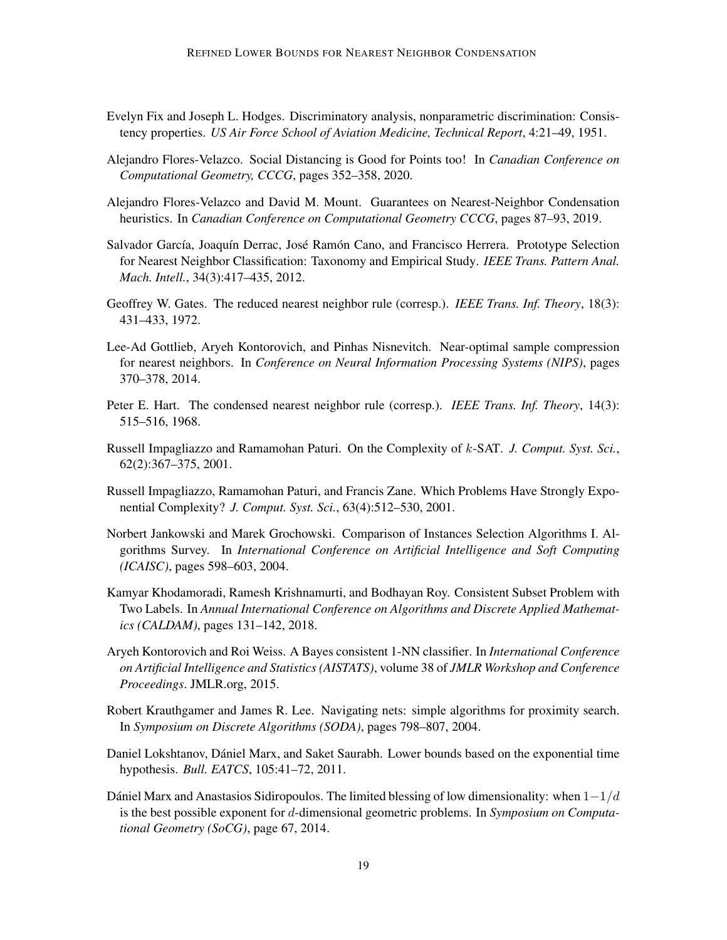- <span id="page-18-2"></span>Evelyn Fix and Joseph L. Hodges. Discriminatory analysis, nonparametric discrimination: Consistency properties. *US Air Force School of Aviation Medicine, Technical Report*, 4:21–49, 1951.
- <span id="page-18-10"></span>Alejandro Flores-Velazco. Social Distancing is Good for Points too! In *Canadian Conference on Computational Geometry, CCCG*, pages 352–358, 2020.
- <span id="page-18-7"></span>Alejandro Flores-Velazco and David M. Mount. Guarantees on Nearest-Neighbor Condensation heuristics. In *Canadian Conference on Computational Geometry CCCG*, pages 87–93, 2019.
- <span id="page-18-9"></span>Salvador García, Joaquín Derrac, José Ramón Cano, and Francisco Herrera. Prototype Selection for Nearest Neighbor Classification: Taxonomy and Empirical Study. *IEEE Trans. Pattern Anal. Mach. Intell.*, 34(3):417–435, 2012.
- <span id="page-18-6"></span>Geoffrey W. Gates. The reduced nearest neighbor rule (corresp.). *IEEE Trans. Inf. Theory*, 18(3): 431–433, 1972.
- <span id="page-18-11"></span>Lee-Ad Gottlieb, Aryeh Kontorovich, and Pinhas Nisnevitch. Near-optimal sample compression for nearest neighbors. In *Conference on Neural Information Processing Systems (NIPS)*, pages 370–378, 2014.
- <span id="page-18-0"></span>Peter E. Hart. The condensed nearest neighbor rule (corresp.). *IEEE Trans. Inf. Theory*, 14(3): 515–516, 1968.
- <span id="page-18-12"></span>Russell Impagliazzo and Ramamohan Paturi. On the Complexity of k-SAT. *J. Comput. Syst. Sci.*, 62(2):367–375, 2001.
- <span id="page-18-13"></span>Russell Impagliazzo, Ramamohan Paturi, and Francis Zane. Which Problems Have Strongly Exponential Complexity? *J. Comput. Syst. Sci.*, 63(4):512–530, 2001.
- <span id="page-18-8"></span>Norbert Jankowski and Marek Grochowski. Comparison of Instances Selection Algorithms I. Algorithms Survey. In *International Conference on Artificial Intelligence and Soft Computing (ICAISC)*, pages 598–603, 2004.
- <span id="page-18-5"></span>Kamyar Khodamoradi, Ramesh Krishnamurti, and Bodhayan Roy. Consistent Subset Problem with Two Labels. In *Annual International Conference on Algorithms and Discrete Applied Mathematics (CALDAM)*, pages 131–142, 2018.
- <span id="page-18-3"></span>Aryeh Kontorovich and Roi Weiss. A Bayes consistent 1-NN classifier. In *International Conference on Artificial Intelligence and Statistics (AISTATS)*, volume 38 of *JMLR Workshop and Conference Proceedings*. JMLR.org, 2015.
- <span id="page-18-4"></span>Robert Krauthgamer and James R. Lee. Navigating nets: simple algorithms for proximity search. In *Symposium on Discrete Algorithms (SODA)*, pages 798–807, 2004.
- <span id="page-18-14"></span>Daniel Lokshtanov, Dániel Marx, and Saket Saurabh. Lower bounds based on the exponential time hypothesis. *Bull. EATCS*, 105:41–72, 2011.
- <span id="page-18-1"></span>Dániel Marx and Anastasios Sidiropoulos. The limited blessing of low dimensionality: when  $1 - 1/d$ is the best possible exponent for d-dimensional geometric problems. In *Symposium on Computational Geometry (SoCG)*, page 67, 2014.